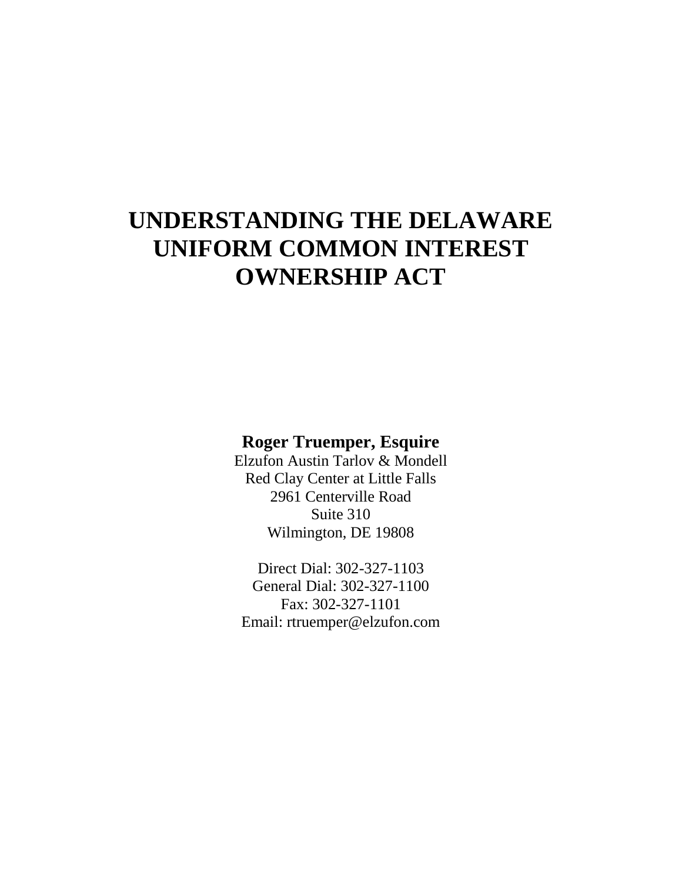# **Roger Truemper, Esquire**

Elzufon Austin Tarlov & Mondell Red Clay Center at Little Falls 2961 Centerville Road Suite 310 Wilmington, DE 19808

Direct Dial: 302-327-1103 General Dial: 302-327-1100 Fax: 302-327-1101 Email: rtruemper@elzufon.com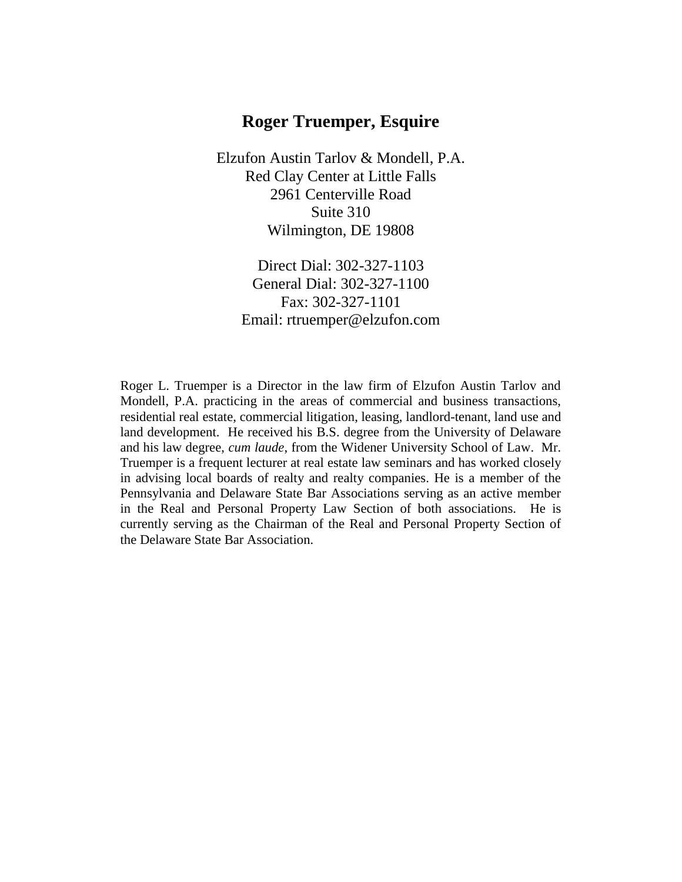# **Roger Truemper, Esquire**

Elzufon Austin Tarlov & Mondell, P.A. Red Clay Center at Little Falls 2961 Centerville Road Suite 310 Wilmington, DE 19808

> Direct Dial: 302-327-1103 General Dial: 302-327-1100 Fax: 302-327-1101 Email: rtruemper@elzufon.com

Roger L. Truemper is a Director in the law firm of Elzufon Austin Tarlov and Mondell, P.A. practicing in the areas of commercial and business transactions, residential real estate, commercial litigation, leasing, landlord-tenant, land use and land development. He received his B.S. degree from the University of Delaware and his law degree, *cum laude*, from the Widener University School of Law. Mr. Truemper is a frequent lecturer at real estate law seminars and has worked closely in advising local boards of realty and realty companies. He is a member of the Pennsylvania and Delaware State Bar Associations serving as an active member in the Real and Personal Property Law Section of both associations. He is currently serving as the Chairman of the Real and Personal Property Section of the Delaware State Bar Association.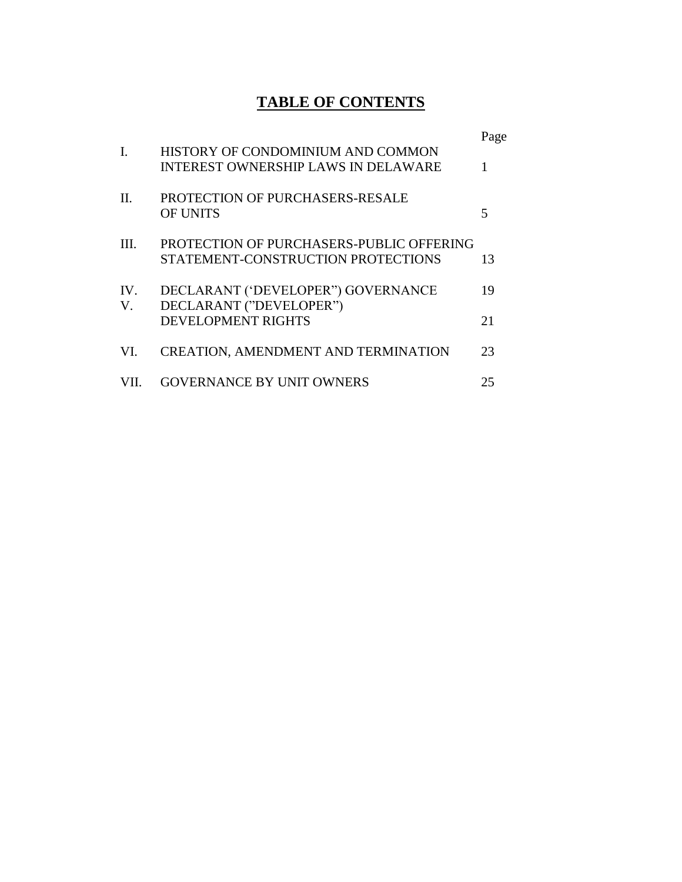# **TABLE OF CONTENTS**

|      |                                                                                 | Page |
|------|---------------------------------------------------------------------------------|------|
| L    | HISTORY OF CONDOMINIUM AND COMMON<br><b>INTEREST OWNERSHIP LAWS IN DELAWARE</b> |      |
| H.   | PROTECTION OF PURCHASERS-RESALE<br><b>OF UNITS</b>                              | 5    |
| III. | PROTECTION OF PURCHASERS-PUBLIC OFFERING<br>STATEMENT-CONSTRUCTION PROTECTIONS  | 13   |
| IV.  | DECLARANT ('DEVELOPER'') GOVERNANCE                                             | 19   |
| V.   | DECLARANT ("DEVELOPER")<br><b>DEVELOPMENT RIGHTS</b>                            | 21   |
| VI.  | <b>CREATION, AMENDMENT AND TERMINATION</b>                                      | 23   |
|      | <b>GOVERNANCE BY UNIT OWNERS</b>                                                | 25   |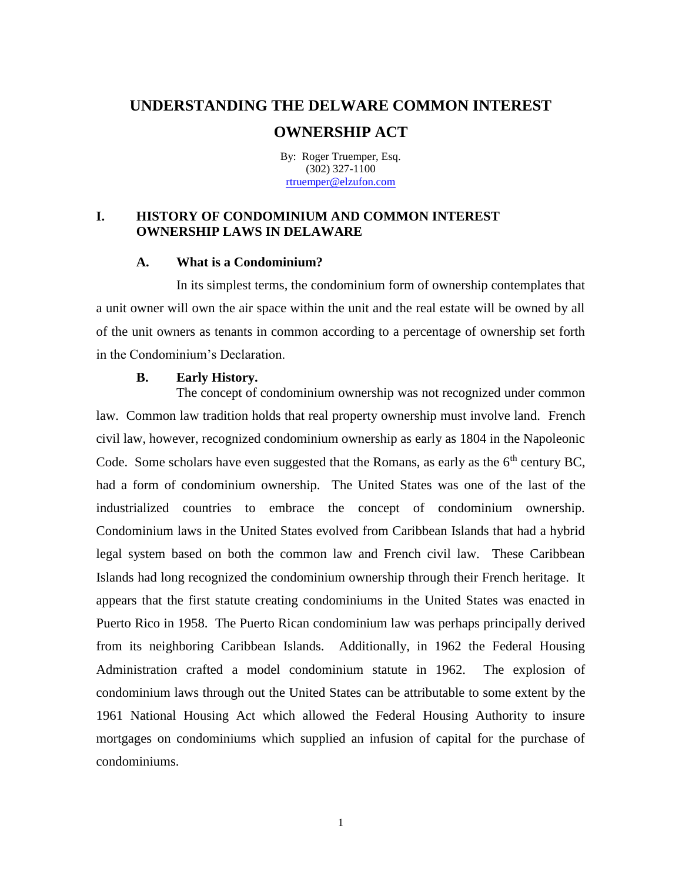By: Roger Truemper, Esq. (302) 327-1100 [rtruemper@elzufon.com](mailto:rtruemper@elzufon.com)

#### **I. HISTORY OF CONDOMINIUM AND COMMON INTEREST OWNERSHIP LAWS IN DELAWARE**

#### **A. What is a Condominium?**

In its simplest terms, the condominium form of ownership contemplates that a unit owner will own the air space within the unit and the real estate will be owned by all of the unit owners as tenants in common according to a percentage of ownership set forth in the Condominium's Declaration.

#### **B. Early History.**

The concept of condominium ownership was not recognized under common law. Common law tradition holds that real property ownership must involve land. French civil law, however, recognized condominium ownership as early as 1804 in the Napoleonic Code. Some scholars have even suggested that the Romans, as early as the  $6<sup>th</sup>$  century BC, had a form of condominium ownership. The United States was one of the last of the industrialized countries to embrace the concept of condominium ownership. Condominium laws in the United States evolved from Caribbean Islands that had a hybrid legal system based on both the common law and French civil law. These Caribbean Islands had long recognized the condominium ownership through their French heritage. It appears that the first statute creating condominiums in the United States was enacted in Puerto Rico in 1958. The Puerto Rican condominium law was perhaps principally derived from its neighboring Caribbean Islands. Additionally, in 1962 the Federal Housing Administration crafted a model condominium statute in 1962. The explosion of condominium laws through out the United States can be attributable to some extent by the 1961 National Housing Act which allowed the Federal Housing Authority to insure mortgages on condominiums which supplied an infusion of capital for the purchase of condominiums.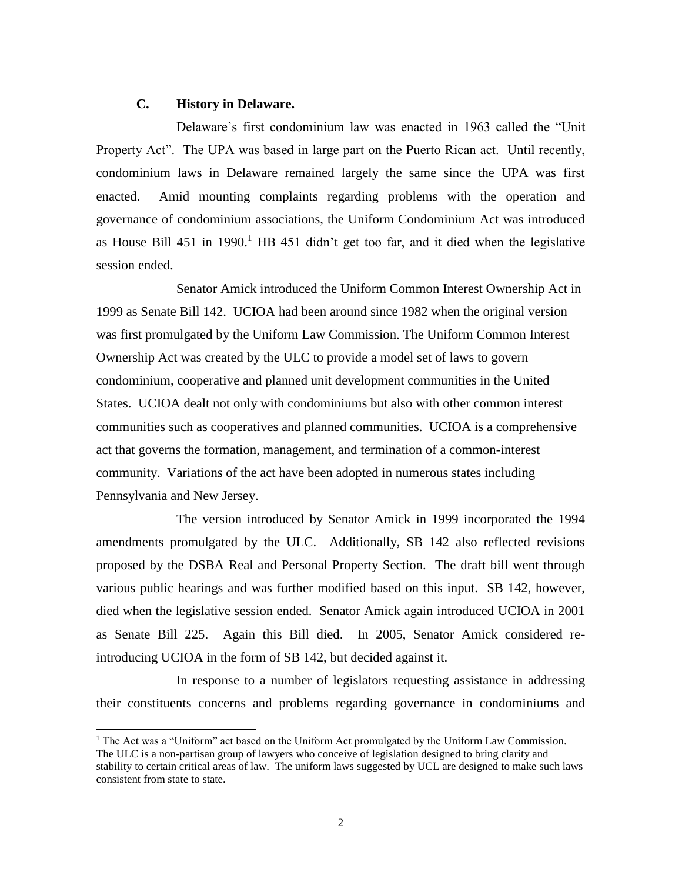#### **C. History in Delaware.**

l

Delaware's first condominium law was enacted in 1963 called the "Unit Property Act". The UPA was based in large part on the Puerto Rican act. Until recently, condominium laws in Delaware remained largely the same since the UPA was first enacted. Amid mounting complaints regarding problems with the operation and governance of condominium associations, the Uniform Condominium Act was introduced as House Bill 451 in  $1990<sup>1</sup>$  HB 451 didn't get too far, and it died when the legislative session ended.

Senator Amick introduced the Uniform Common Interest Ownership Act in 1999 as Senate Bill 142. UCIOA had been around since 1982 when the original version was first promulgated by the Uniform Law Commission. The Uniform Common Interest Ownership Act was created by the ULC to provide a model set of laws to govern condominium, cooperative and planned unit development communities in the United States. UCIOA dealt not only with condominiums but also with other common interest communities such as cooperatives and planned communities. UCIOA is a comprehensive act that governs the formation, management, and termination of a common-interest community. Variations of the act have been adopted in numerous states including Pennsylvania and New Jersey.

The version introduced by Senator Amick in 1999 incorporated the 1994 amendments promulgated by the ULC. Additionally, SB 142 also reflected revisions proposed by the DSBA Real and Personal Property Section. The draft bill went through various public hearings and was further modified based on this input. SB 142, however, died when the legislative session ended. Senator Amick again introduced UCIOA in 2001 as Senate Bill 225. Again this Bill died. In 2005, Senator Amick considered reintroducing UCIOA in the form of SB 142, but decided against it.

In response to a number of legislators requesting assistance in addressing their constituents concerns and problems regarding governance in condominiums and

<sup>&</sup>lt;sup>1</sup> The Act was a "Uniform" act based on the Uniform Act promulgated by the Uniform Law Commission. The ULC is a non-partisan group of lawyers who conceive of legislation designed to bring clarity and stability to certain critical areas of law. The uniform laws suggested by UCL are designed to make such laws consistent from state to state.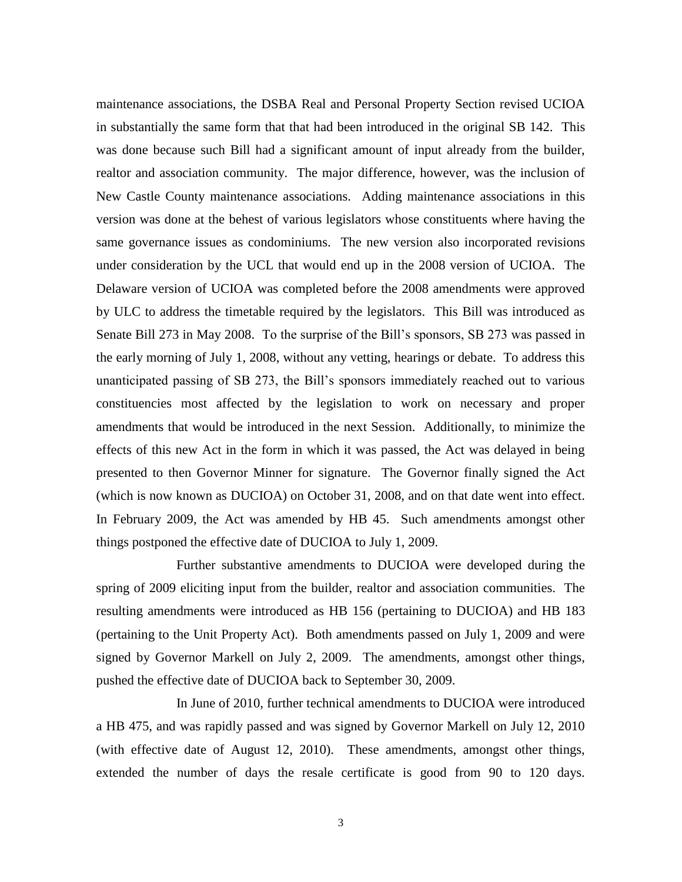maintenance associations, the DSBA Real and Personal Property Section revised UCIOA in substantially the same form that that had been introduced in the original SB 142. This was done because such Bill had a significant amount of input already from the builder, realtor and association community. The major difference, however, was the inclusion of New Castle County maintenance associations. Adding maintenance associations in this version was done at the behest of various legislators whose constituents where having the same governance issues as condominiums. The new version also incorporated revisions under consideration by the UCL that would end up in the 2008 version of UCIOA. The Delaware version of UCIOA was completed before the 2008 amendments were approved by ULC to address the timetable required by the legislators. This Bill was introduced as Senate Bill 273 in May 2008. To the surprise of the Bill's sponsors, SB 273 was passed in the early morning of July 1, 2008, without any vetting, hearings or debate. To address this unanticipated passing of SB 273, the Bill's sponsors immediately reached out to various constituencies most affected by the legislation to work on necessary and proper amendments that would be introduced in the next Session. Additionally, to minimize the effects of this new Act in the form in which it was passed, the Act was delayed in being presented to then Governor Minner for signature. The Governor finally signed the Act (which is now known as DUCIOA) on October 31, 2008, and on that date went into effect. In February 2009, the Act was amended by HB 45. Such amendments amongst other things postponed the effective date of DUCIOA to July 1, 2009.

Further substantive amendments to DUCIOA were developed during the spring of 2009 eliciting input from the builder, realtor and association communities. The resulting amendments were introduced as HB 156 (pertaining to DUCIOA) and HB 183 (pertaining to the Unit Property Act). Both amendments passed on July 1, 2009 and were signed by Governor Markell on July 2, 2009. The amendments, amongst other things, pushed the effective date of DUCIOA back to September 30, 2009.

In June of 2010, further technical amendments to DUCIOA were introduced a HB 475, and was rapidly passed and was signed by Governor Markell on July 12, 2010 (with effective date of August 12, 2010). These amendments, amongst other things, extended the number of days the resale certificate is good from 90 to 120 days.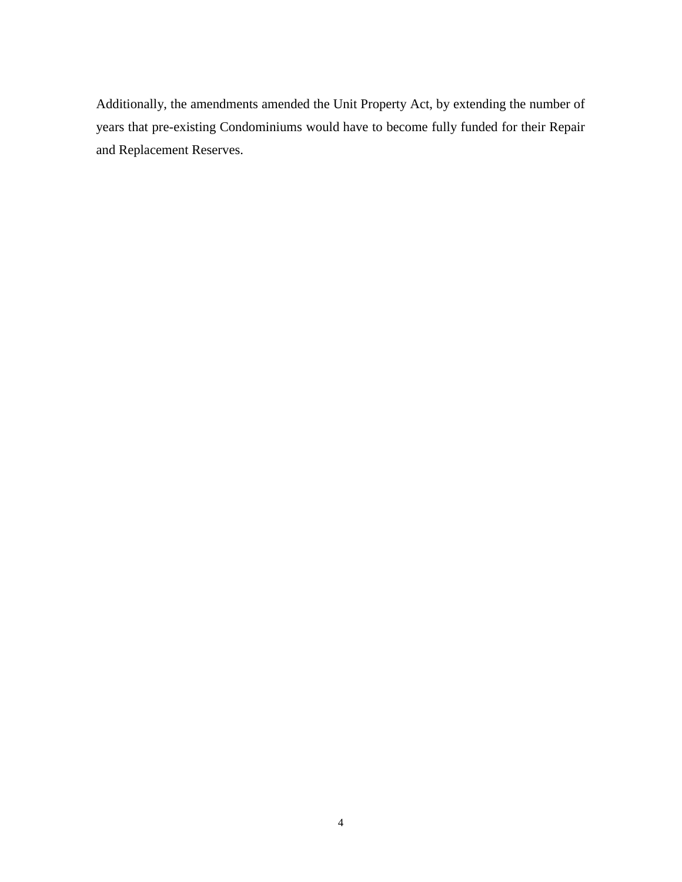Additionally, the amendments amended the Unit Property Act, by extending the number of years that pre-existing Condominiums would have to become fully funded for their Repair and Replacement Reserves.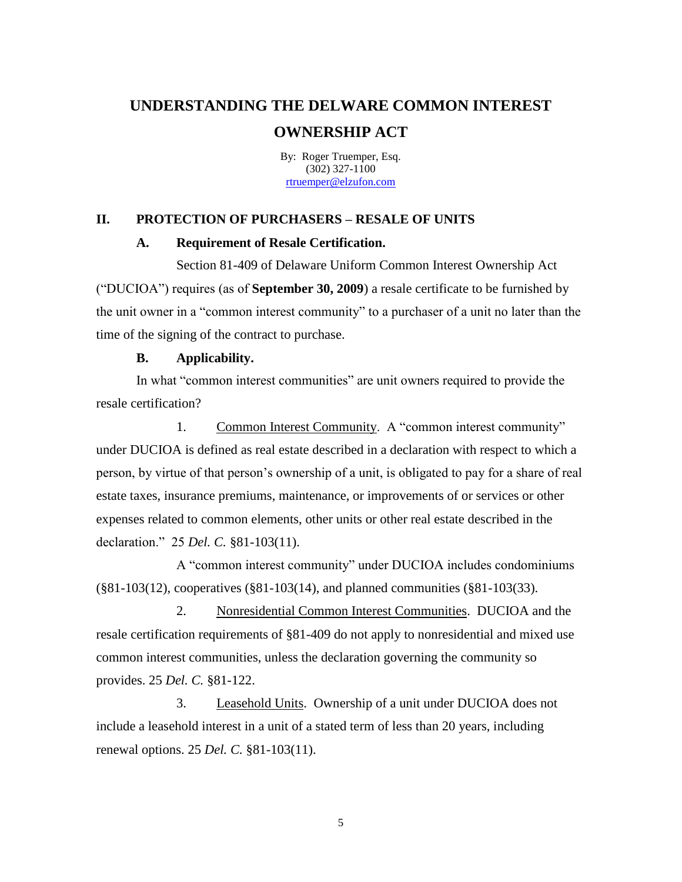By: Roger Truemper, Esq. (302) 327-1100 [rtruemper@elzufon.com](mailto:rtruemper@elzufon.com)

#### **II. PROTECTION OF PURCHASERS – RESALE OF UNITS**

#### **A. Requirement of Resale Certification.**

Section 81-409 of Delaware Uniform Common Interest Ownership Act ("DUCIOA") requires (as of **September 30, 2009**) a resale certificate to be furnished by the unit owner in a "common interest community" to a purchaser of a unit no later than the time of the signing of the contract to purchase.

#### **B. Applicability.**

In what "common interest communities" are unit owners required to provide the resale certification?

1. Common Interest Community. A "common interest community" under DUCIOA is defined as real estate described in a declaration with respect to which a person, by virtue of that person's ownership of a unit, is obligated to pay for a share of real estate taxes, insurance premiums, maintenance, or improvements of or services or other expenses related to common elements, other units or other real estate described in the declaration." 25 *Del. C.* §81-103(11).

A "common interest community" under DUCIOA includes condominiums (§81-103(12), cooperatives (§81-103(14), and planned communities (§81-103(33).

2. Nonresidential Common Interest Communities. DUCIOA and the resale certification requirements of §81-409 do not apply to nonresidential and mixed use common interest communities, unless the declaration governing the community so provides. 25 *Del. C.* §81-122.

3. Leasehold Units. Ownership of a unit under DUCIOA does not include a leasehold interest in a unit of a stated term of less than 20 years, including renewal options. 25 *Del. C.* §81-103(11).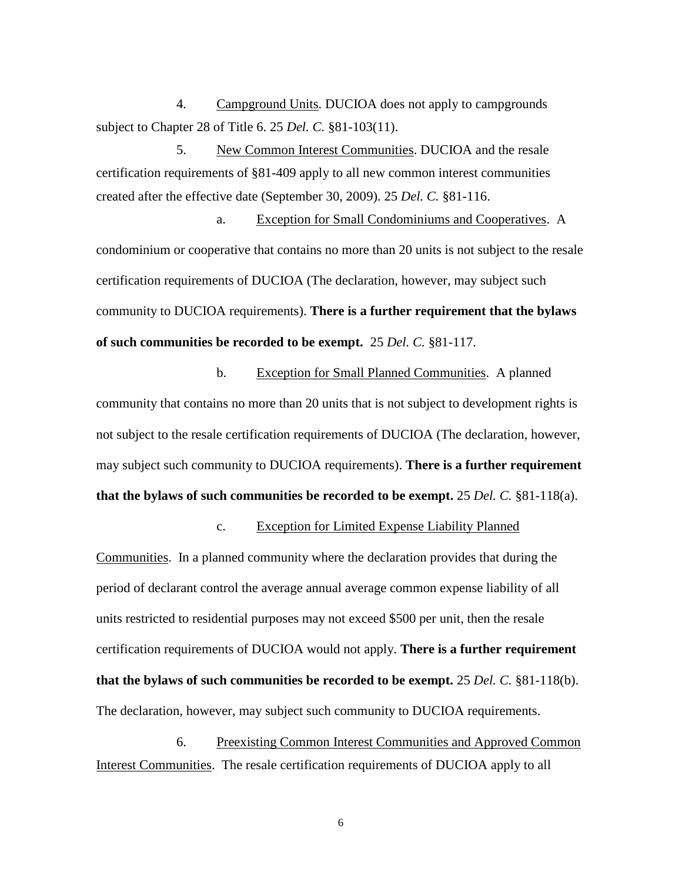4. Campground Units. DUCIOA does not apply to campgrounds subject to Chapter 28 of Title 6. 25 *Del. C.* §81-103(11).

5. New Common Interest Communities. DUCIOA and the resale certification requirements of §81-409 apply to all new common interest communities created after the effective date (September 30, 2009). 25 *Del. C.* §81-116.

a. Exception for Small Condominiums and Cooperatives. A condominium or cooperative that contains no more than 20 units is not subject to the resale certification requirements of DUCIOA (The declaration, however, may subject such community to DUCIOA requirements). **There is a further requirement that the bylaws of such communities be recorded to be exempt.** 25 *Del. C.* §81-117.

b. Exception for Small Planned Communities. A planned community that contains no more than 20 units that is not subject to development rights is not subject to the resale certification requirements of DUCIOA (The declaration, however, may subject such community to DUCIOA requirements). **There is a further requirement that the bylaws of such communities be recorded to be exempt.** 25 *Del. C.* §81-118(a).

c. Exception for Limited Expense Liability Planned

Communities. In a planned community where the declaration provides that during the period of declarant control the average annual average common expense liability of all units restricted to residential purposes may not exceed \$500 per unit, then the resale certification requirements of DUCIOA would not apply. **There is a further requirement that the bylaws of such communities be recorded to be exempt.** 25 *Del. C.* §81-118(b). The declaration, however, may subject such community to DUCIOA requirements.

6. Preexisting Common Interest Communities and Approved Common Interest Communities. The resale certification requirements of DUCIOA apply to all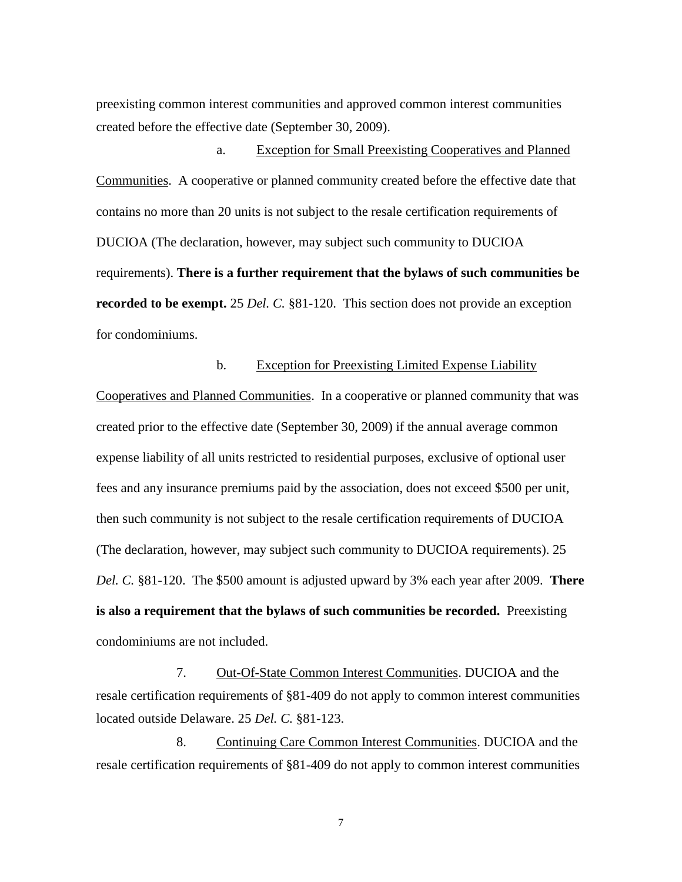preexisting common interest communities and approved common interest communities created before the effective date (September 30, 2009).

a. Exception for Small Preexisting Cooperatives and Planned Communities. A cooperative or planned community created before the effective date that contains no more than 20 units is not subject to the resale certification requirements of DUCIOA (The declaration, however, may subject such community to DUCIOA requirements). **There is a further requirement that the bylaws of such communities be recorded to be exempt.** 25 *Del. C.* §81-120. This section does not provide an exception for condominiums.

#### b. Exception for Preexisting Limited Expense Liability

Cooperatives and Planned Communities. In a cooperative or planned community that was created prior to the effective date (September 30, 2009) if the annual average common expense liability of all units restricted to residential purposes, exclusive of optional user fees and any insurance premiums paid by the association, does not exceed \$500 per unit, then such community is not subject to the resale certification requirements of DUCIOA (The declaration, however, may subject such community to DUCIOA requirements). 25 *Del. C.* §81-120. The \$500 amount is adjusted upward by 3% each year after 2009. **There is also a requirement that the bylaws of such communities be recorded.** Preexisting condominiums are not included.

7. Out-Of-State Common Interest Communities. DUCIOA and the resale certification requirements of §81-409 do not apply to common interest communities located outside Delaware. 25 *Del. C.* §81-123.

8. Continuing Care Common Interest Communities. DUCIOA and the resale certification requirements of §81-409 do not apply to common interest communities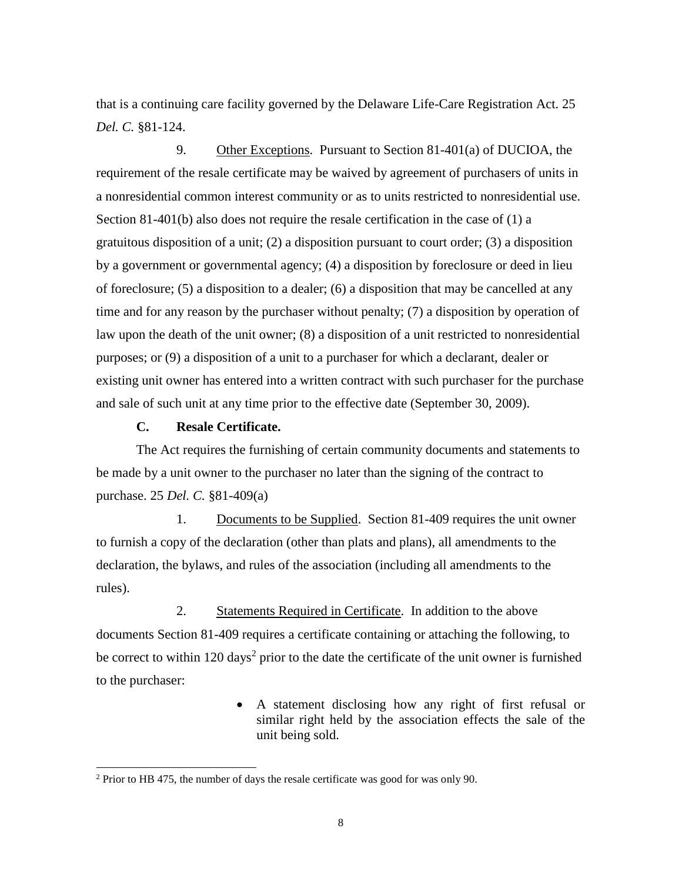that is a continuing care facility governed by the Delaware Life-Care Registration Act. 25 *Del. C.* §81-124.

9. Other Exceptions. Pursuant to Section 81-401(a) of DUCIOA, the requirement of the resale certificate may be waived by agreement of purchasers of units in a nonresidential common interest community or as to units restricted to nonresidential use. Section 81-401(b) also does not require the resale certification in the case of (1) a gratuitous disposition of a unit; (2) a disposition pursuant to court order; (3) a disposition by a government or governmental agency; (4) a disposition by foreclosure or deed in lieu of foreclosure; (5) a disposition to a dealer; (6) a disposition that may be cancelled at any time and for any reason by the purchaser without penalty; (7) a disposition by operation of law upon the death of the unit owner; (8) a disposition of a unit restricted to nonresidential purposes; or (9) a disposition of a unit to a purchaser for which a declarant, dealer or existing unit owner has entered into a written contract with such purchaser for the purchase and sale of such unit at any time prior to the effective date (September 30, 2009).

#### **C. Resale Certificate.**

l

The Act requires the furnishing of certain community documents and statements to be made by a unit owner to the purchaser no later than the signing of the contract to purchase. 25 *Del. C.* §81-409(a)

1. Documents to be Supplied. Section 81-409 requires the unit owner to furnish a copy of the declaration (other than plats and plans), all amendments to the declaration, the bylaws, and rules of the association (including all amendments to the rules).

2. Statements Required in Certificate. In addition to the above documents Section 81-409 requires a certificate containing or attaching the following, to be correct to within 120 days<sup>2</sup> prior to the date the certificate of the unit owner is furnished to the purchaser:

> A statement disclosing how any right of first refusal or similar right held by the association effects the sale of the unit being sold.

<sup>2</sup> Prior to HB 475, the number of days the resale certificate was good for was only 90.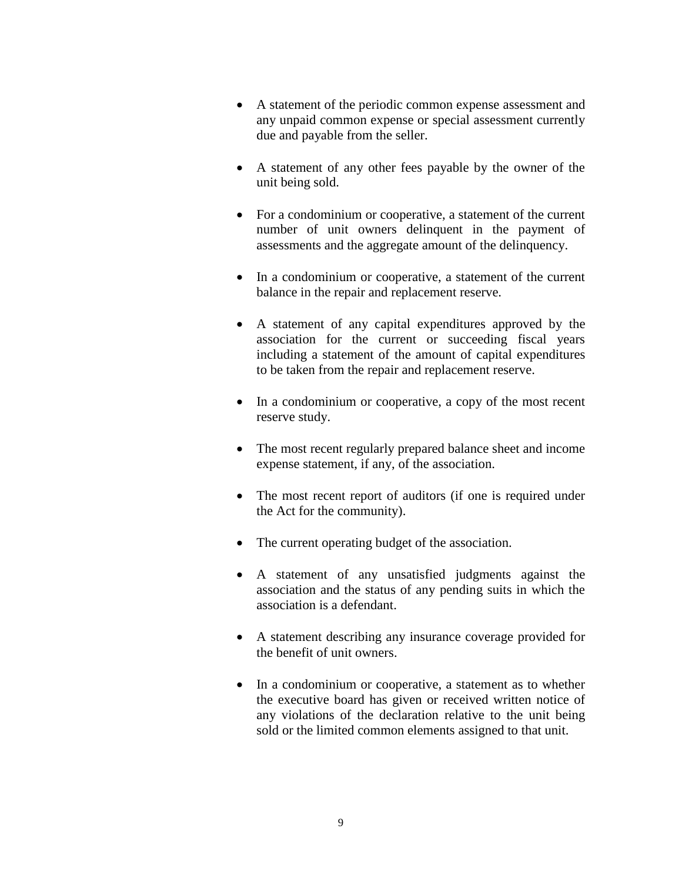- A statement of the periodic common expense assessment and any unpaid common expense or special assessment currently due and payable from the seller.
- A statement of any other fees payable by the owner of the unit being sold.
- For a condominium or cooperative, a statement of the current number of unit owners delinquent in the payment of assessments and the aggregate amount of the delinquency.
- In a condominium or cooperative, a statement of the current balance in the repair and replacement reserve.
- A statement of any capital expenditures approved by the association for the current or succeeding fiscal years including a statement of the amount of capital expenditures to be taken from the repair and replacement reserve.
- In a condominium or cooperative, a copy of the most recent reserve study.
- The most recent regularly prepared balance sheet and income expense statement, if any, of the association.
- The most recent report of auditors (if one is required under the Act for the community).
- The current operating budget of the association.
- A statement of any unsatisfied judgments against the association and the status of any pending suits in which the association is a defendant.
- A statement describing any insurance coverage provided for the benefit of unit owners.
- In a condominium or cooperative, a statement as to whether the executive board has given or received written notice of any violations of the declaration relative to the unit being sold or the limited common elements assigned to that unit.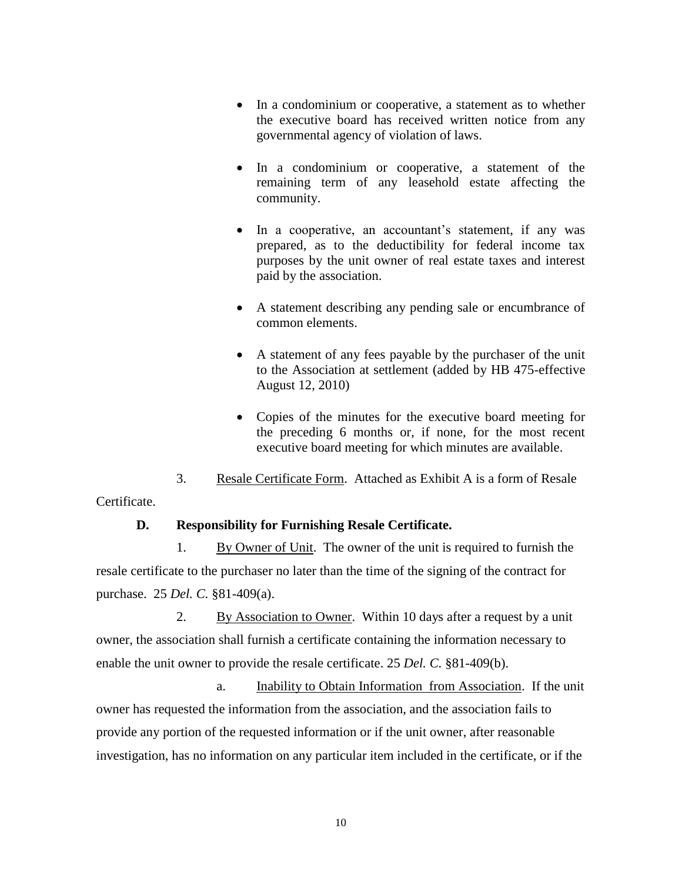- In a condominium or cooperative, a statement as to whether the executive board has received written notice from any governmental agency of violation of laws.
- In a condominium or cooperative, a statement of the remaining term of any leasehold estate affecting the community.
- In a cooperative, an accountant's statement, if any was prepared, as to the deductibility for federal income tax purposes by the unit owner of real estate taxes and interest paid by the association.
- A statement describing any pending sale or encumbrance of common elements.
- A statement of any fees payable by the purchaser of the unit to the Association at settlement (added by HB 475-effective August 12, 2010)
- Copies of the minutes for the executive board meeting for the preceding 6 months or, if none, for the most recent executive board meeting for which minutes are available.
- 3. Resale Certificate Form. Attached as Exhibit A is a form of Resale

# Certificate.

# **D. Responsibility for Furnishing Resale Certificate.**

1. By Owner of Unit. The owner of the unit is required to furnish the resale certificate to the purchaser no later than the time of the signing of the contract for purchase. 25 *Del. C.* §81-409(a).

2. By Association to Owner. Within 10 days after a request by a unit owner, the association shall furnish a certificate containing the information necessary to enable the unit owner to provide the resale certificate. 25 *Del. C.* §81-409(b).

a. Inability to Obtain Information from Association. If the unit owner has requested the information from the association, and the association fails to provide any portion of the requested information or if the unit owner, after reasonable investigation, has no information on any particular item included in the certificate, or if the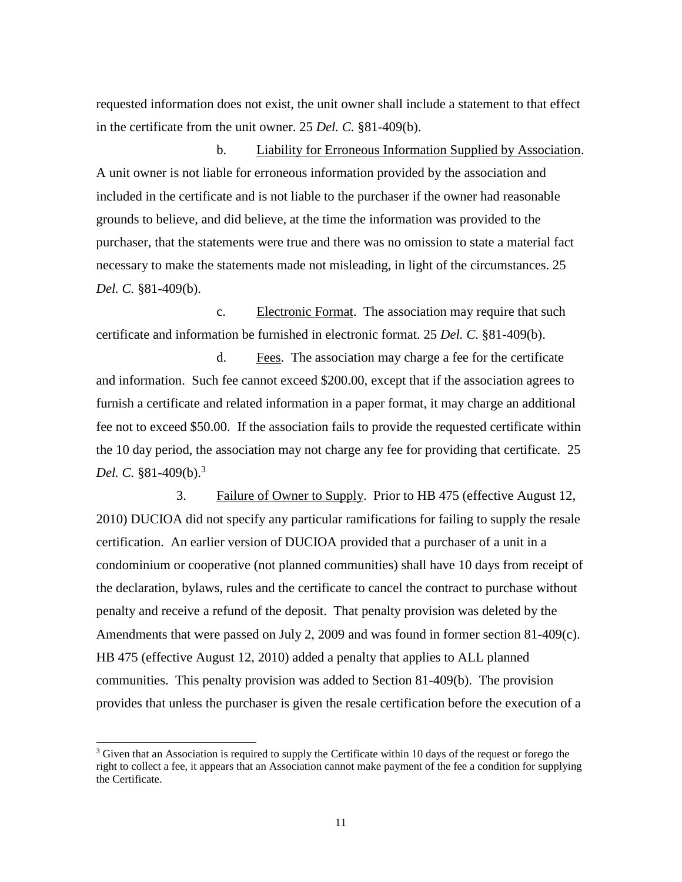requested information does not exist, the unit owner shall include a statement to that effect in the certificate from the unit owner. 25 *Del. C.* §81-409(b).

b. Liability for Erroneous Information Supplied by Association. A unit owner is not liable for erroneous information provided by the association and included in the certificate and is not liable to the purchaser if the owner had reasonable grounds to believe, and did believe, at the time the information was provided to the purchaser, that the statements were true and there was no omission to state a material fact necessary to make the statements made not misleading, in light of the circumstances. 25 *Del. C.* §81-409(b).

c. Electronic Format. The association may require that such certificate and information be furnished in electronic format. 25 *Del. C.* §81-409(b).

d. Fees. The association may charge a fee for the certificate and information. Such fee cannot exceed \$200.00, except that if the association agrees to furnish a certificate and related information in a paper format, it may charge an additional fee not to exceed \$50.00. If the association fails to provide the requested certificate within the 10 day period, the association may not charge any fee for providing that certificate. 25 *Del. C.* §81-409(b).<sup>3</sup>

3. Failure of Owner to Supply. Prior to HB 475 (effective August 12, 2010) DUCIOA did not specify any particular ramifications for failing to supply the resale certification. An earlier version of DUCIOA provided that a purchaser of a unit in a condominium or cooperative (not planned communities) shall have 10 days from receipt of the declaration, bylaws, rules and the certificate to cancel the contract to purchase without penalty and receive a refund of the deposit. That penalty provision was deleted by the Amendments that were passed on July 2, 2009 and was found in former section 81-409(c). HB 475 (effective August 12, 2010) added a penalty that applies to ALL planned communities. This penalty provision was added to Section 81-409(b). The provision provides that unless the purchaser is given the resale certification before the execution of a

l

<sup>&</sup>lt;sup>3</sup> Given that an Association is required to supply the Certificate within 10 days of the request or forego the right to collect a fee, it appears that an Association cannot make payment of the fee a condition for supplying the Certificate.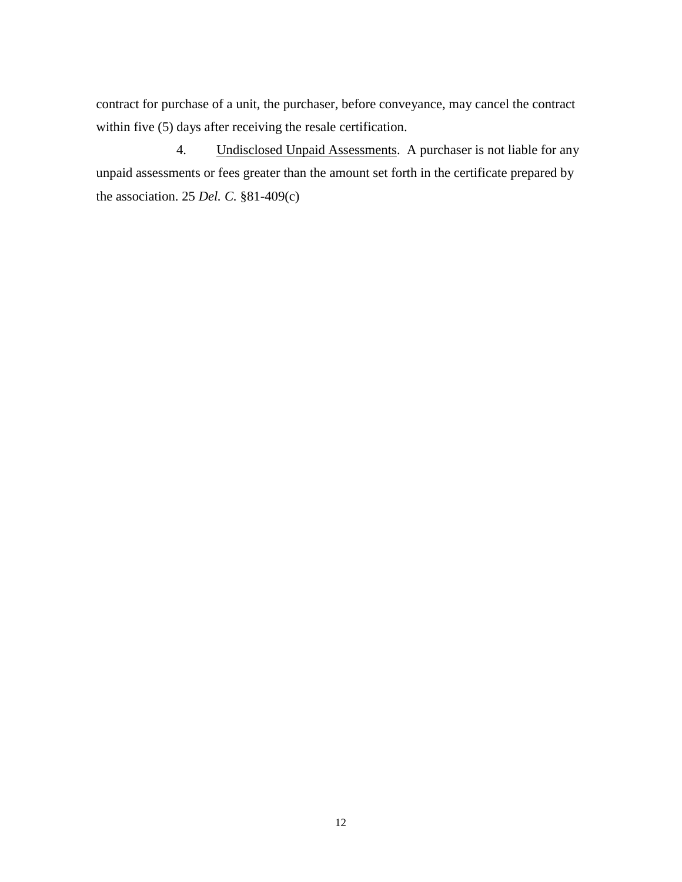contract for purchase of a unit, the purchaser, before conveyance, may cancel the contract within five (5) days after receiving the resale certification.

4. Undisclosed Unpaid Assessments. A purchaser is not liable for any unpaid assessments or fees greater than the amount set forth in the certificate prepared by the association. 25 *Del. C.* §81-409(c)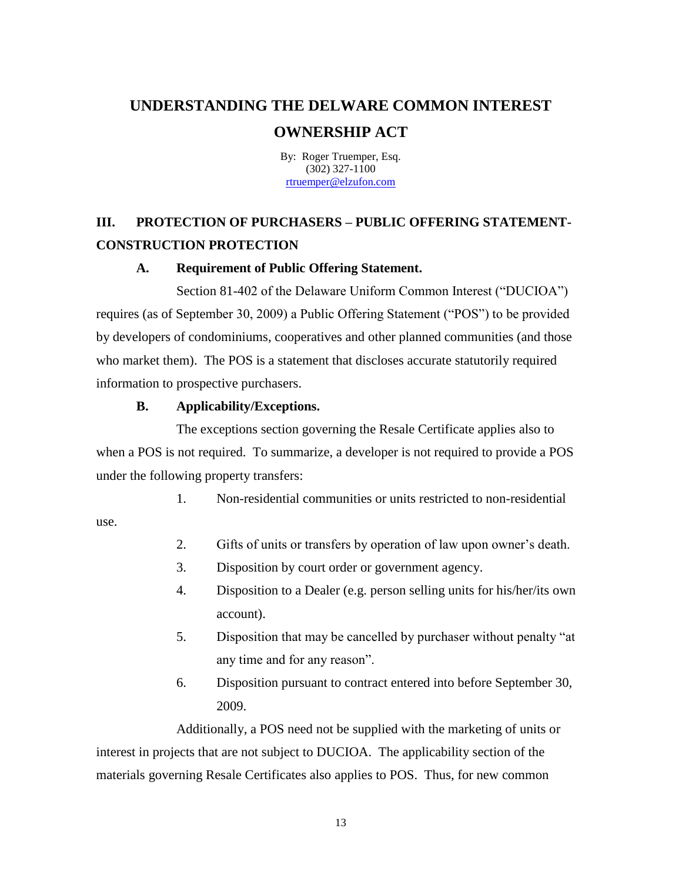By: Roger Truemper, Esq. (302) 327-1100 [rtruemper@elzufon.com](mailto:rtruemper@elzufon.com)

# **III. PROTECTION OF PURCHASERS – PUBLIC OFFERING STATEMENT-CONSTRUCTION PROTECTION**

# **A. Requirement of Public Offering Statement.**

Section 81-402 of the Delaware Uniform Common Interest ("DUCIOA") requires (as of September 30, 2009) a Public Offering Statement ("POS") to be provided by developers of condominiums, cooperatives and other planned communities (and those who market them). The POS is a statement that discloses accurate statutorily required information to prospective purchasers.

# **B. Applicability/Exceptions.**

The exceptions section governing the Resale Certificate applies also to when a POS is not required. To summarize, a developer is not required to provide a POS under the following property transfers:

1. Non-residential communities or units restricted to non-residential

use.

- 2. Gifts of units or transfers by operation of law upon owner's death.
- 3. Disposition by court order or government agency.
- 4. Disposition to a Dealer (e.g. person selling units for his/her/its own account).
- 5. Disposition that may be cancelled by purchaser without penalty "at any time and for any reason".
- 6. Disposition pursuant to contract entered into before September 30, 2009.

Additionally, a POS need not be supplied with the marketing of units or interest in projects that are not subject to DUCIOA. The applicability section of the materials governing Resale Certificates also applies to POS. Thus, for new common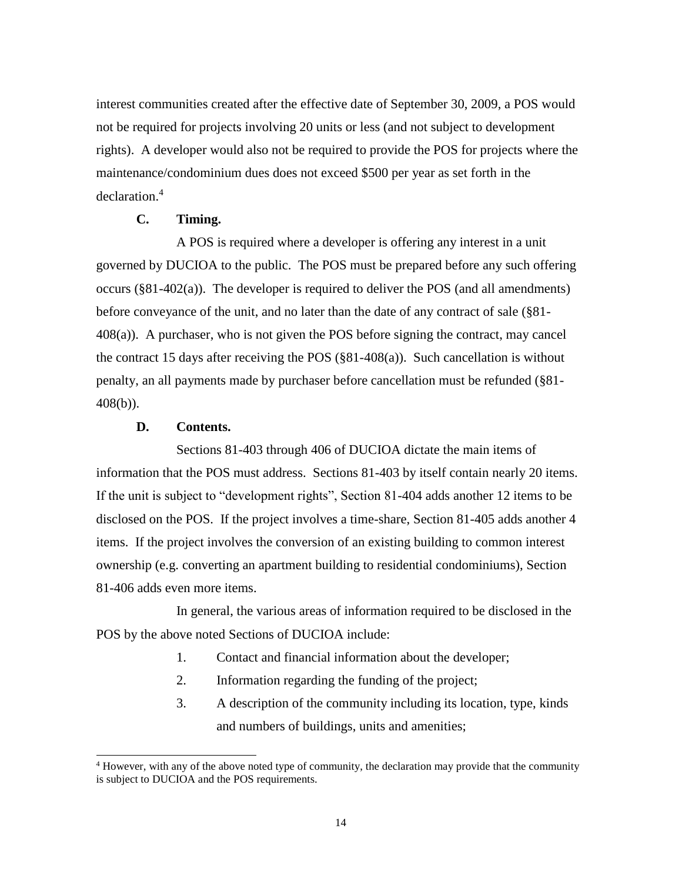interest communities created after the effective date of September 30, 2009, a POS would not be required for projects involving 20 units or less (and not subject to development rights). A developer would also not be required to provide the POS for projects where the maintenance/condominium dues does not exceed \$500 per year as set forth in the declaration.<sup>4</sup>

### **C. Timing.**

A POS is required where a developer is offering any interest in a unit governed by DUCIOA to the public. The POS must be prepared before any such offering occurs (§81-402(a)). The developer is required to deliver the POS (and all amendments) before conveyance of the unit, and no later than the date of any contract of sale (§81- 408(a)). A purchaser, who is not given the POS before signing the contract, may cancel the contract 15 days after receiving the POS (§81-408(a)). Such cancellation is without penalty, an all payments made by purchaser before cancellation must be refunded (§81- 408(b)).

#### **D. Contents.**

l

Sections 81-403 through 406 of DUCIOA dictate the main items of information that the POS must address. Sections 81-403 by itself contain nearly 20 items. If the unit is subject to "development rights", Section 81-404 adds another 12 items to be disclosed on the POS. If the project involves a time-share, Section 81-405 adds another 4 items. If the project involves the conversion of an existing building to common interest ownership (e.g. converting an apartment building to residential condominiums), Section 81-406 adds even more items.

In general, the various areas of information required to be disclosed in the POS by the above noted Sections of DUCIOA include:

- 1. Contact and financial information about the developer;
- 2. Information regarding the funding of the project;
- 3. A description of the community including its location, type, kinds and numbers of buildings, units and amenities;

<sup>4</sup> However, with any of the above noted type of community, the declaration may provide that the community is subject to DUCIOA and the POS requirements.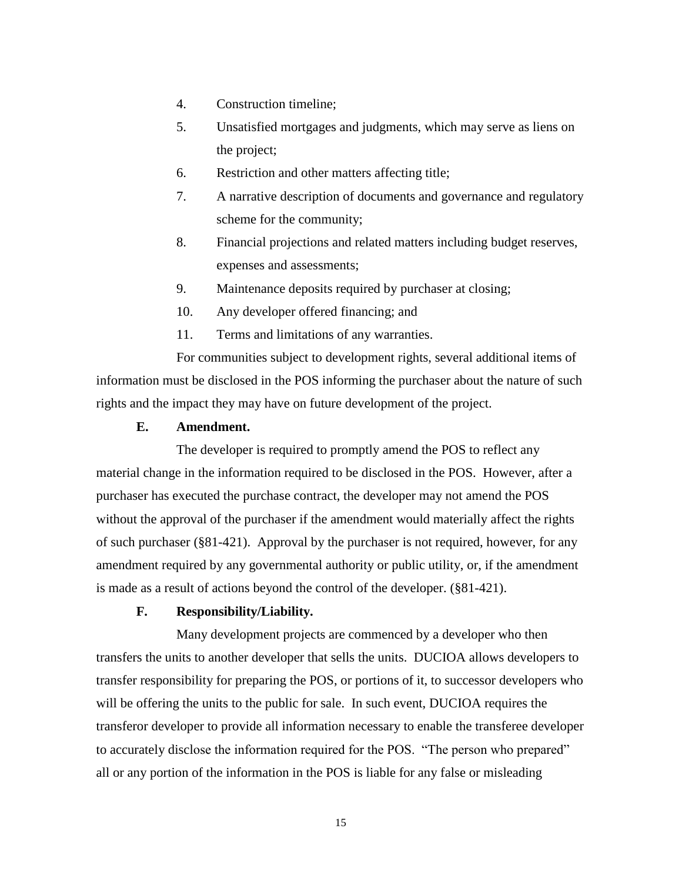- 4. Construction timeline;
- 5. Unsatisfied mortgages and judgments, which may serve as liens on the project;
- 6. Restriction and other matters affecting title;
- 7. A narrative description of documents and governance and regulatory scheme for the community;
- 8. Financial projections and related matters including budget reserves, expenses and assessments;
- 9. Maintenance deposits required by purchaser at closing;
- 10. Any developer offered financing; and
- 11. Terms and limitations of any warranties.

For communities subject to development rights, several additional items of information must be disclosed in the POS informing the purchaser about the nature of such rights and the impact they may have on future development of the project.

#### **E. Amendment.**

The developer is required to promptly amend the POS to reflect any material change in the information required to be disclosed in the POS. However, after a purchaser has executed the purchase contract, the developer may not amend the POS without the approval of the purchaser if the amendment would materially affect the rights of such purchaser (§81-421). Approval by the purchaser is not required, however, for any amendment required by any governmental authority or public utility, or, if the amendment is made as a result of actions beyond the control of the developer. (§81-421).

#### **F. Responsibility/Liability.**

Many development projects are commenced by a developer who then transfers the units to another developer that sells the units. DUCIOA allows developers to transfer responsibility for preparing the POS, or portions of it, to successor developers who will be offering the units to the public for sale. In such event, DUCIOA requires the transferor developer to provide all information necessary to enable the transferee developer to accurately disclose the information required for the POS. "The person who prepared" all or any portion of the information in the POS is liable for any false or misleading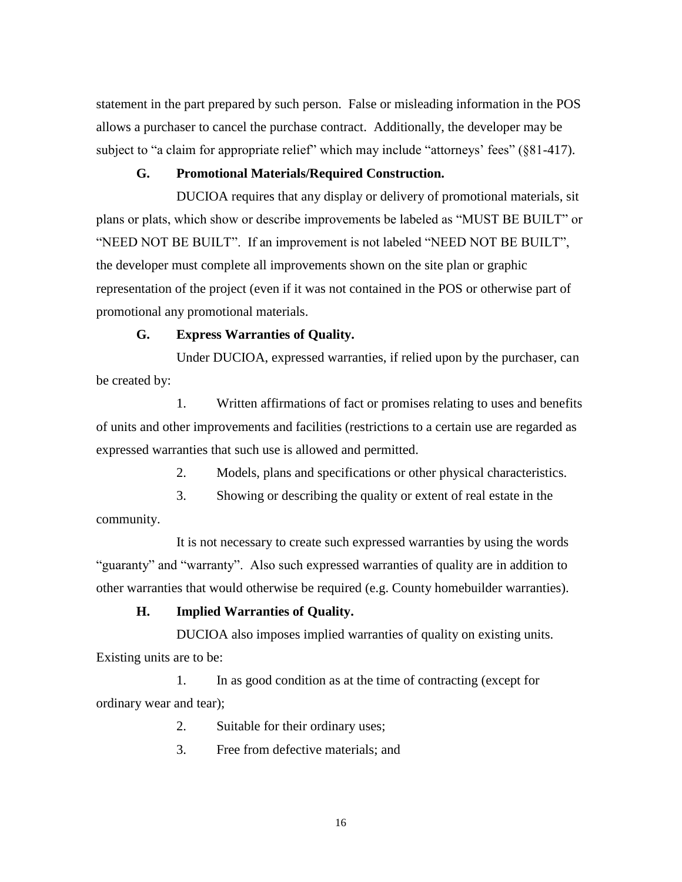statement in the part prepared by such person. False or misleading information in the POS allows a purchaser to cancel the purchase contract. Additionally, the developer may be subject to "a claim for appropriate relief" which may include "attorneys' fees" (§81-417).

## **G. Promotional Materials/Required Construction.**

DUCIOA requires that any display or delivery of promotional materials, sit plans or plats, which show or describe improvements be labeled as "MUST BE BUILT" or "NEED NOT BE BUILT". If an improvement is not labeled "NEED NOT BE BUILT", the developer must complete all improvements shown on the site plan or graphic representation of the project (even if it was not contained in the POS or otherwise part of promotional any promotional materials.

#### **G. Express Warranties of Quality.**

Under DUCIOA, expressed warranties, if relied upon by the purchaser, can be created by:

1. Written affirmations of fact or promises relating to uses and benefits of units and other improvements and facilities (restrictions to a certain use are regarded as expressed warranties that such use is allowed and permitted.

2. Models, plans and specifications or other physical characteristics.

3. Showing or describing the quality or extent of real estate in the community.

It is not necessary to create such expressed warranties by using the words "guaranty" and "warranty". Also such expressed warranties of quality are in addition to other warranties that would otherwise be required (e.g. County homebuilder warranties).

#### **H. Implied Warranties of Quality.**

DUCIOA also imposes implied warranties of quality on existing units. Existing units are to be:

1. In as good condition as at the time of contracting (except for ordinary wear and tear);

2. Suitable for their ordinary uses;

3. Free from defective materials; and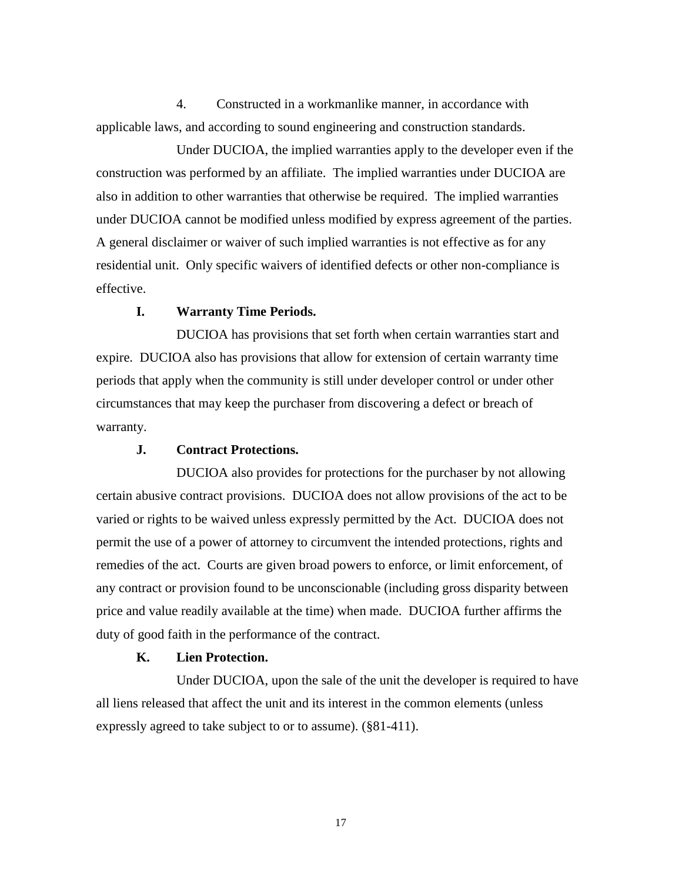4. Constructed in a workmanlike manner, in accordance with applicable laws, and according to sound engineering and construction standards.

Under DUCIOA, the implied warranties apply to the developer even if the construction was performed by an affiliate. The implied warranties under DUCIOA are also in addition to other warranties that otherwise be required. The implied warranties under DUCIOA cannot be modified unless modified by express agreement of the parties. A general disclaimer or waiver of such implied warranties is not effective as for any residential unit. Only specific waivers of identified defects or other non-compliance is effective.

#### **I. Warranty Time Periods.**

DUCIOA has provisions that set forth when certain warranties start and expire. DUCIOA also has provisions that allow for extension of certain warranty time periods that apply when the community is still under developer control or under other circumstances that may keep the purchaser from discovering a defect or breach of warranty.

#### **J. Contract Protections.**

DUCIOA also provides for protections for the purchaser by not allowing certain abusive contract provisions. DUCIOA does not allow provisions of the act to be varied or rights to be waived unless expressly permitted by the Act. DUCIOA does not permit the use of a power of attorney to circumvent the intended protections, rights and remedies of the act. Courts are given broad powers to enforce, or limit enforcement, of any contract or provision found to be unconscionable (including gross disparity between price and value readily available at the time) when made. DUCIOA further affirms the duty of good faith in the performance of the contract.

#### **K. Lien Protection.**

Under DUCIOA, upon the sale of the unit the developer is required to have all liens released that affect the unit and its interest in the common elements (unless expressly agreed to take subject to or to assume). (§81-411).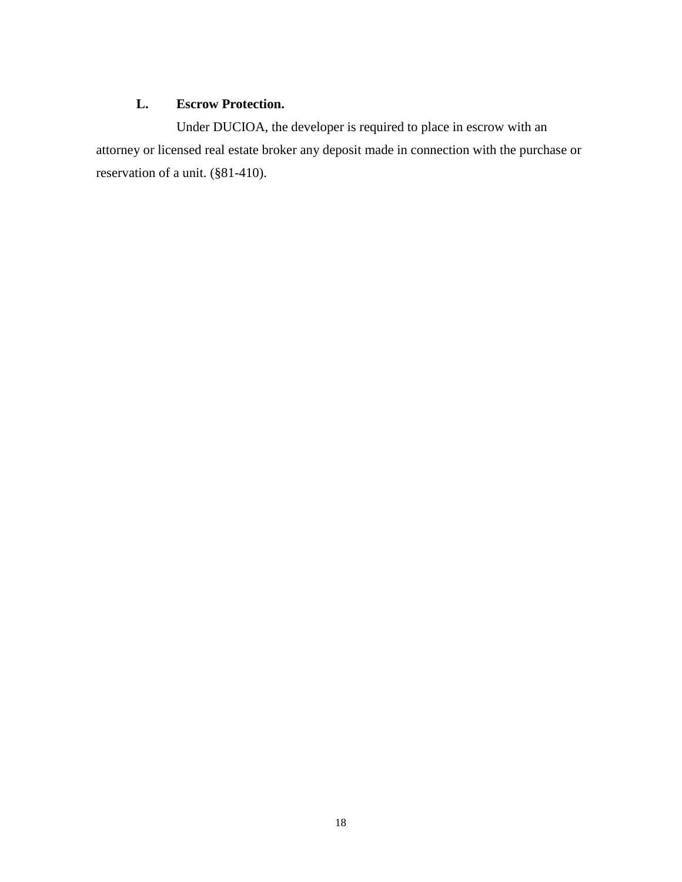# **L. Escrow Protection.**

Under DUCIOA, the developer is required to place in escrow with an attorney or licensed real estate broker any deposit made in connection with the purchase or reservation of a unit. (§81-410).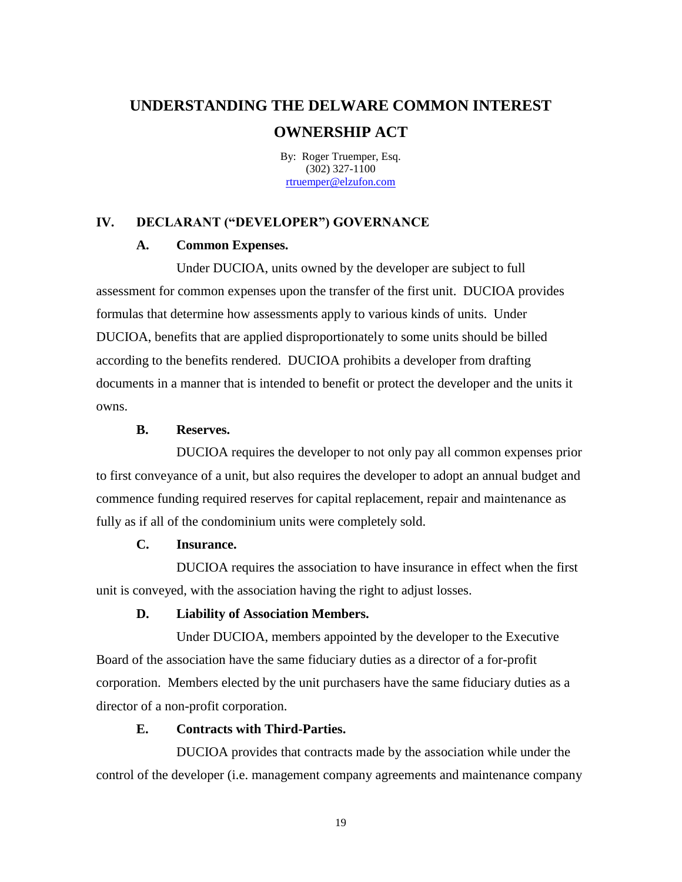By: Roger Truemper, Esq. (302) 327-1100 [rtruemper@elzufon.com](mailto:rtruemper@elzufon.com)

#### **IV. DECLARANT ("DEVELOPER") GOVERNANCE**

### **A. Common Expenses.**

Under DUCIOA, units owned by the developer are subject to full assessment for common expenses upon the transfer of the first unit. DUCIOA provides formulas that determine how assessments apply to various kinds of units. Under DUCIOA, benefits that are applied disproportionately to some units should be billed according to the benefits rendered. DUCIOA prohibits a developer from drafting documents in a manner that is intended to benefit or protect the developer and the units it owns.

#### **B. Reserves.**

DUCIOA requires the developer to not only pay all common expenses prior to first conveyance of a unit, but also requires the developer to adopt an annual budget and commence funding required reserves for capital replacement, repair and maintenance as fully as if all of the condominium units were completely sold.

#### **C. Insurance.**

DUCIOA requires the association to have insurance in effect when the first unit is conveyed, with the association having the right to adjust losses.

# **D. Liability of Association Members.**

Under DUCIOA, members appointed by the developer to the Executive Board of the association have the same fiduciary duties as a director of a for-profit corporation. Members elected by the unit purchasers have the same fiduciary duties as a director of a non-profit corporation.

#### **E. Contracts with Third-Parties.**

DUCIOA provides that contracts made by the association while under the control of the developer (i.e. management company agreements and maintenance company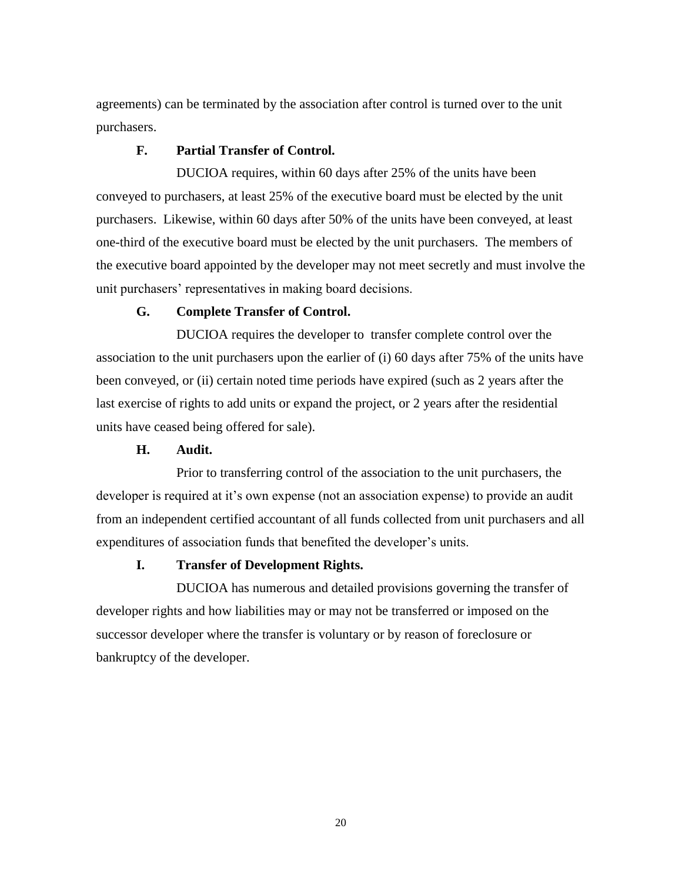agreements) can be terminated by the association after control is turned over to the unit purchasers.

#### **F. Partial Transfer of Control.**

DUCIOA requires, within 60 days after 25% of the units have been conveyed to purchasers, at least 25% of the executive board must be elected by the unit purchasers. Likewise, within 60 days after 50% of the units have been conveyed, at least one-third of the executive board must be elected by the unit purchasers. The members of the executive board appointed by the developer may not meet secretly and must involve the unit purchasers' representatives in making board decisions.

#### **G. Complete Transfer of Control.**

DUCIOA requires the developer to transfer complete control over the association to the unit purchasers upon the earlier of (i) 60 days after 75% of the units have been conveyed, or (ii) certain noted time periods have expired (such as 2 years after the last exercise of rights to add units or expand the project, or 2 years after the residential units have ceased being offered for sale).

#### **H. Audit.**

Prior to transferring control of the association to the unit purchasers, the developer is required at it's own expense (not an association expense) to provide an audit from an independent certified accountant of all funds collected from unit purchasers and all expenditures of association funds that benefited the developer's units.

#### **I. Transfer of Development Rights.**

DUCIOA has numerous and detailed provisions governing the transfer of developer rights and how liabilities may or may not be transferred or imposed on the successor developer where the transfer is voluntary or by reason of foreclosure or bankruptcy of the developer.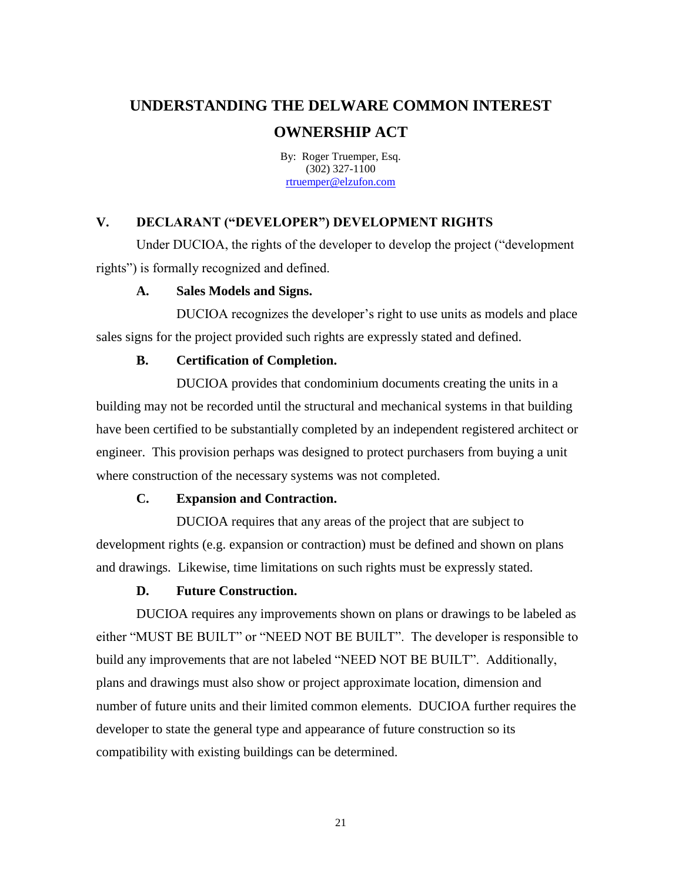By: Roger Truemper, Esq. (302) 327-1100 [rtruemper@elzufon.com](mailto:rtruemper@elzufon.com)

# **V. DECLARANT ("DEVELOPER") DEVELOPMENT RIGHTS**

Under DUCIOA, the rights of the developer to develop the project ("development rights") is formally recognized and defined.

#### **A. Sales Models and Signs.**

DUCIOA recognizes the developer's right to use units as models and place sales signs for the project provided such rights are expressly stated and defined.

#### **B. Certification of Completion.**

DUCIOA provides that condominium documents creating the units in a building may not be recorded until the structural and mechanical systems in that building have been certified to be substantially completed by an independent registered architect or engineer. This provision perhaps was designed to protect purchasers from buying a unit where construction of the necessary systems was not completed.

#### **C. Expansion and Contraction.**

DUCIOA requires that any areas of the project that are subject to development rights (e.g. expansion or contraction) must be defined and shown on plans and drawings. Likewise, time limitations on such rights must be expressly stated.

#### **D. Future Construction.**

DUCIOA requires any improvements shown on plans or drawings to be labeled as either "MUST BE BUILT" or "NEED NOT BE BUILT". The developer is responsible to build any improvements that are not labeled "NEED NOT BE BUILT". Additionally, plans and drawings must also show or project approximate location, dimension and number of future units and their limited common elements. DUCIOA further requires the developer to state the general type and appearance of future construction so its compatibility with existing buildings can be determined.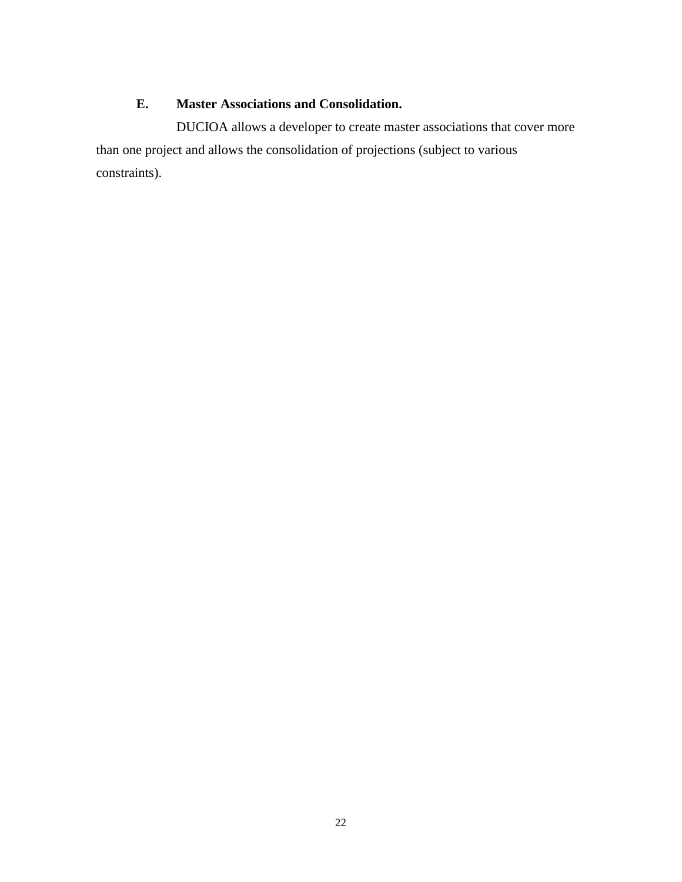# **E. Master Associations and Consolidation.**

DUCIOA allows a developer to create master associations that cover more than one project and allows the consolidation of projections (subject to various constraints).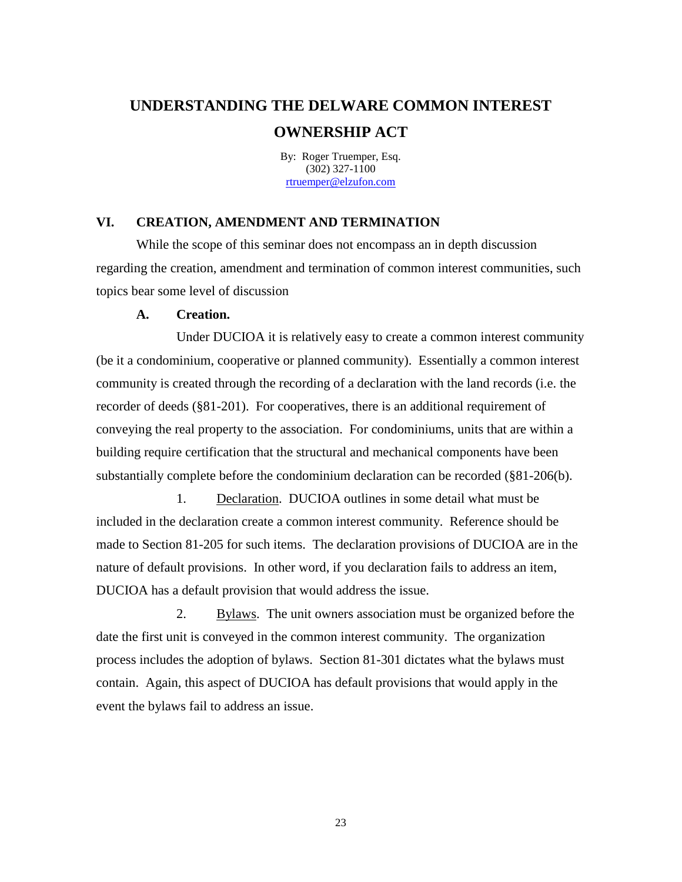By: Roger Truemper, Esq. (302) 327-1100 [rtruemper@elzufon.com](mailto:rtruemper@elzufon.com)

#### **VI. CREATION, AMENDMENT AND TERMINATION**

While the scope of this seminar does not encompass an in depth discussion regarding the creation, amendment and termination of common interest communities, such topics bear some level of discussion

#### **A. Creation.**

Under DUCIOA it is relatively easy to create a common interest community (be it a condominium, cooperative or planned community). Essentially a common interest community is created through the recording of a declaration with the land records (i.e. the recorder of deeds (§81-201). For cooperatives, there is an additional requirement of conveying the real property to the association. For condominiums, units that are within a building require certification that the structural and mechanical components have been substantially complete before the condominium declaration can be recorded (§81-206(b).

1. Declaration. DUCIOA outlines in some detail what must be included in the declaration create a common interest community. Reference should be made to Section 81-205 for such items. The declaration provisions of DUCIOA are in the nature of default provisions. In other word, if you declaration fails to address an item, DUCIOA has a default provision that would address the issue.

2. Bylaws. The unit owners association must be organized before the date the first unit is conveyed in the common interest community. The organization process includes the adoption of bylaws. Section 81-301 dictates what the bylaws must contain. Again, this aspect of DUCIOA has default provisions that would apply in the event the bylaws fail to address an issue.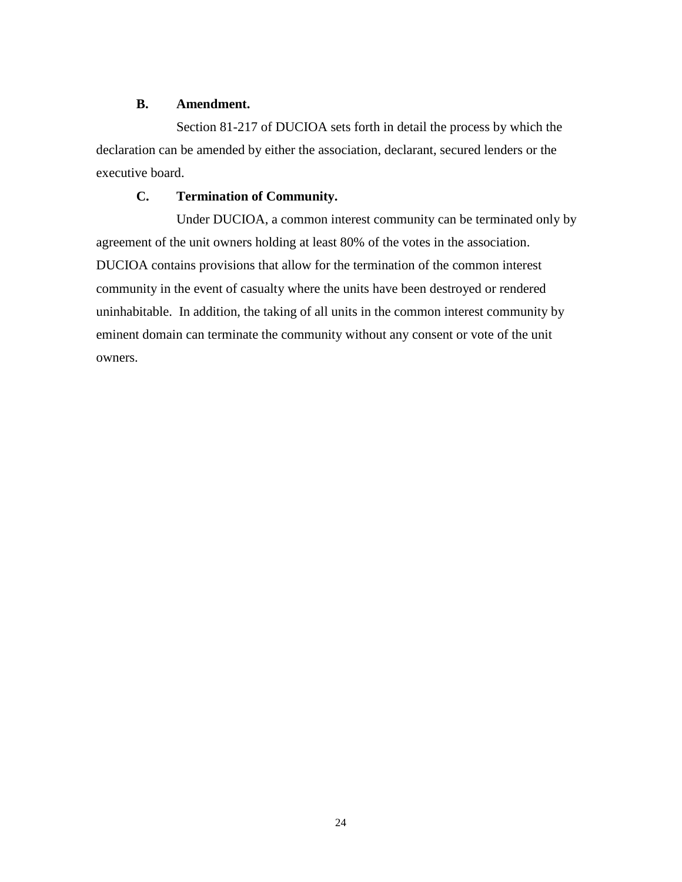#### **B. Amendment.**

Section 81-217 of DUCIOA sets forth in detail the process by which the declaration can be amended by either the association, declarant, secured lenders or the executive board.

# **C. Termination of Community.**

Under DUCIOA, a common interest community can be terminated only by agreement of the unit owners holding at least 80% of the votes in the association. DUCIOA contains provisions that allow for the termination of the common interest community in the event of casualty where the units have been destroyed or rendered uninhabitable. In addition, the taking of all units in the common interest community by eminent domain can terminate the community without any consent or vote of the unit owners.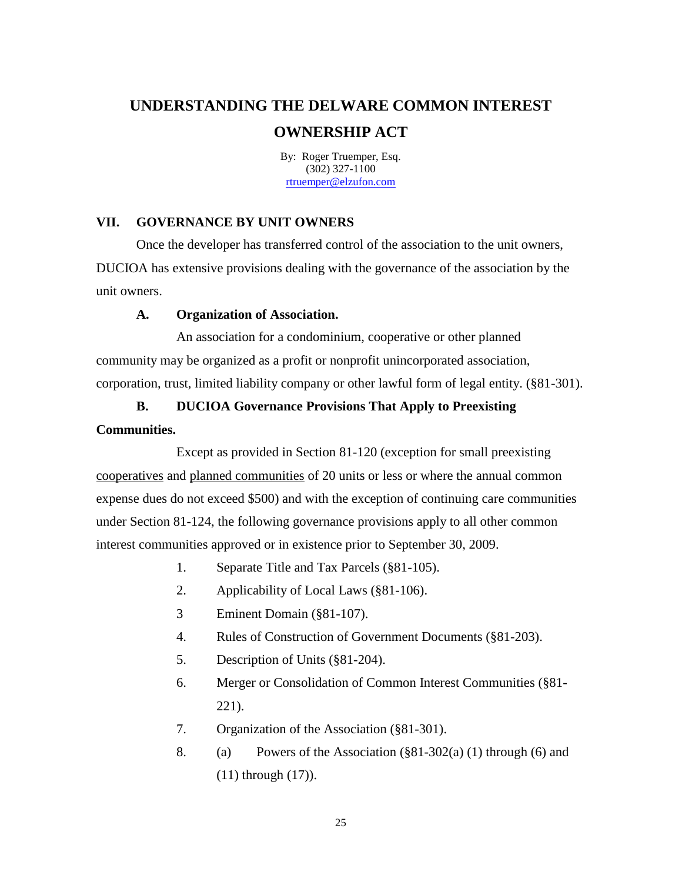By: Roger Truemper, Esq. (302) 327-1100 [rtruemper@elzufon.com](mailto:rtruemper@elzufon.com)

# **VII. GOVERNANCE BY UNIT OWNERS**

Once the developer has transferred control of the association to the unit owners, DUCIOA has extensive provisions dealing with the governance of the association by the unit owners.

#### **A. Organization of Association.**

An association for a condominium, cooperative or other planned community may be organized as a profit or nonprofit unincorporated association, corporation, trust, limited liability company or other lawful form of legal entity. (§81-301).

# **B. DUCIOA Governance Provisions That Apply to Preexisting**

#### **Communities.**

Except as provided in Section 81-120 (exception for small preexisting cooperatives and planned communities of 20 units or less or where the annual common expense dues do not exceed \$500) and with the exception of continuing care communities under Section 81-124, the following governance provisions apply to all other common interest communities approved or in existence prior to September 30, 2009.

- 1. Separate Title and Tax Parcels (§81-105).
- 2. Applicability of Local Laws (§81-106).
- 3 Eminent Domain (§81-107).
- 4. Rules of Construction of Government Documents (§81-203).
- 5. Description of Units (§81-204).
- 6. Merger or Consolidation of Common Interest Communities (§81- 221).
- 7. Organization of the Association (§81-301).
- 8. (a) Powers of the Association  $(\frac{881-302(a)}{1})$  through (6) and (11) through (17)).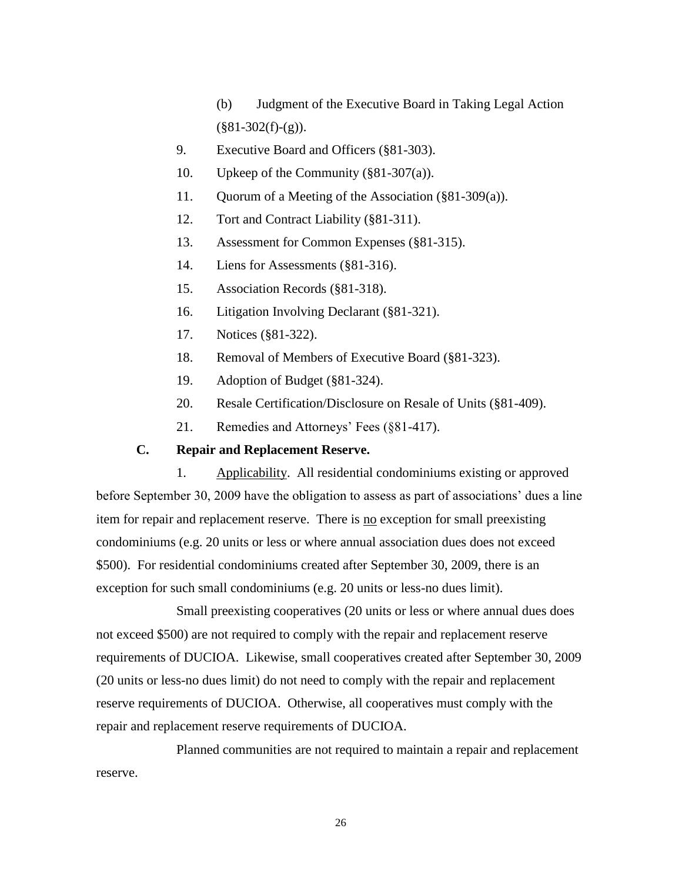(b) Judgment of the Executive Board in Taking Legal Action  $(\$81-302(f)-(g)).$ 

- 9. Executive Board and Officers (§81-303).
- 10. Upkeep of the Community (§81-307(a)).
- 11. Quorum of a Meeting of the Association (§81-309(a)).
- 12. Tort and Contract Liability (§81-311).
- 13. Assessment for Common Expenses (§81-315).
- 14. Liens for Assessments (§81-316).
- 15. Association Records (§81-318).
- 16. Litigation Involving Declarant (§81-321).
- 17. Notices (§81-322).
- 18. Removal of Members of Executive Board (§81-323).
- 19. Adoption of Budget (§81-324).
- 20. Resale Certification/Disclosure on Resale of Units (§81-409).
- 21. Remedies and Attorneys' Fees (§81-417).

# **C. Repair and Replacement Reserve.**

1. Applicability. All residential condominiums existing or approved before September 30, 2009 have the obligation to assess as part of associations' dues a line item for repair and replacement reserve. There is no exception for small preexisting condominiums (e.g. 20 units or less or where annual association dues does not exceed \$500). For residential condominiums created after September 30, 2009, there is an exception for such small condominiums (e.g. 20 units or less-no dues limit).

Small preexisting cooperatives (20 units or less or where annual dues does not exceed \$500) are not required to comply with the repair and replacement reserve requirements of DUCIOA. Likewise, small cooperatives created after September 30, 2009 (20 units or less-no dues limit) do not need to comply with the repair and replacement reserve requirements of DUCIOA. Otherwise, all cooperatives must comply with the repair and replacement reserve requirements of DUCIOA.

Planned communities are not required to maintain a repair and replacement reserve.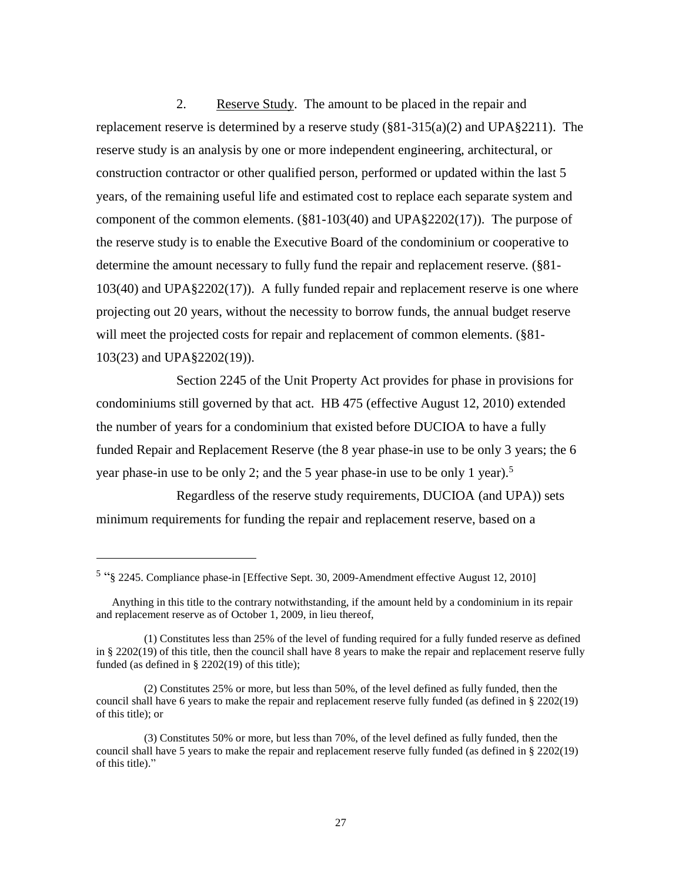2. Reserve Study. The amount to be placed in the repair and replacement reserve is determined by a reserve study  $(\frac{881-315(a)(2)}{2})$  and UPA§2211). The reserve study is an analysis by one or more independent engineering, architectural, or construction contractor or other qualified person, performed or updated within the last 5 years, of the remaining useful life and estimated cost to replace each separate system and component of the common elements. (§81-103(40) and UPA§2202(17)). The purpose of the reserve study is to enable the Executive Board of the condominium or cooperative to determine the amount necessary to fully fund the repair and replacement reserve. (§81- 103(40) and UPA§2202(17)). A fully funded repair and replacement reserve is one where projecting out 20 years, without the necessity to borrow funds, the annual budget reserve will meet the projected costs for repair and replacement of common elements. (§81-103(23) and UPA§2202(19)).

Section 2245 of the Unit Property Act provides for phase in provisions for condominiums still governed by that act. HB 475 (effective August 12, 2010) extended the number of years for a condominium that existed before DUCIOA to have a fully funded Repair and Replacement Reserve (the 8 year phase-in use to be only 3 years; the 6 year phase-in use to be only 2; and the 5 year phase-in use to be only 1 year). 5

Regardless of the reserve study requirements, DUCIOA (and UPA)) sets minimum requirements for funding the repair and replacement reserve, based on a

l

<sup>5</sup> "§ 2245. Compliance phase-in [Effective Sept. 30, 2009-Amendment effective August 12, 2010]

Anything in this title to the contrary notwithstanding, if the amount held by a condominium in its repair and replacement reserve as of October 1, 2009, in lieu thereof,

<sup>(1)</sup> Constitutes less than 25% of the level of funding required for a fully funded reserve as defined in § 2202(19) of this title, then the council shall have 8 years to make the repair and replacement reserve fully funded (as defined in § 2202(19) of this title);

<sup>(2)</sup> Constitutes 25% or more, but less than 50%, of the level defined as fully funded, then the council shall have 6 years to make the repair and replacement reserve fully funded (as defined in § 2202(19) of this title); or

<sup>(3)</sup> Constitutes 50% or more, but less than 70%, of the level defined as fully funded, then the council shall have 5 years to make the repair and replacement reserve fully funded (as defined in § 2202(19) of this title)."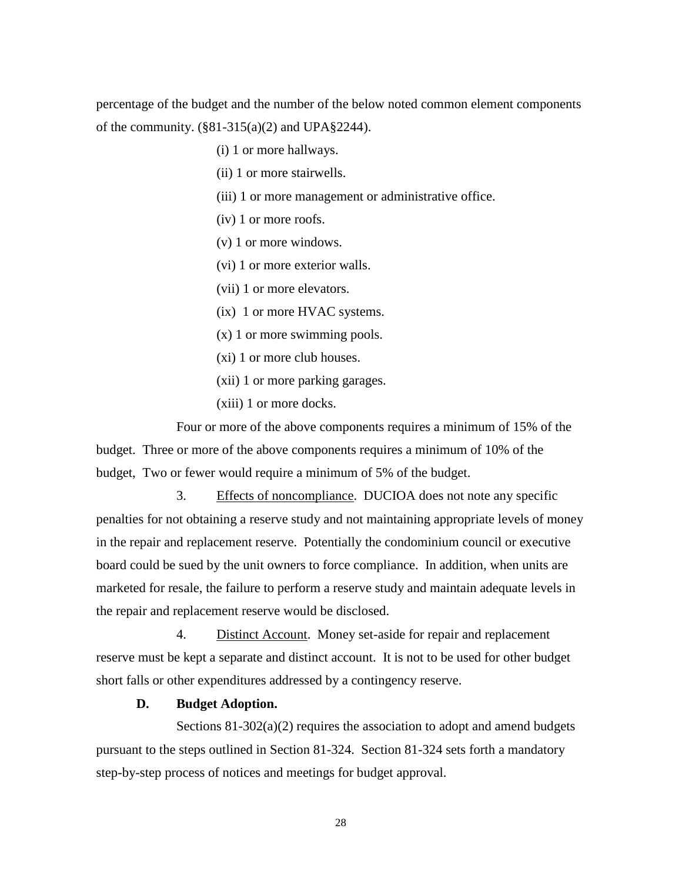percentage of the budget and the number of the below noted common element components of the community.  $(\frac{881-315(a)}{2})$  and UPA $\frac{2244}{2}$ .

(i) 1 or more hallways.

(ii) 1 or more stairwells.

(iii) 1 or more management or administrative office.

(iv) 1 or more roofs.

(v) 1 or more windows.

(vi) 1 or more exterior walls.

(vii) 1 or more elevators.

(ix) 1 or more HVAC systems.

(x) 1 or more swimming pools.

(xi) 1 or more club houses.

(xii) 1 or more parking garages.

(xiii) 1 or more docks.

Four or more of the above components requires a minimum of 15% of the budget. Three or more of the above components requires a minimum of 10% of the budget, Two or fewer would require a minimum of 5% of the budget.

3. Effects of noncompliance. DUCIOA does not note any specific penalties for not obtaining a reserve study and not maintaining appropriate levels of money in the repair and replacement reserve. Potentially the condominium council or executive board could be sued by the unit owners to force compliance. In addition, when units are marketed for resale, the failure to perform a reserve study and maintain adequate levels in the repair and replacement reserve would be disclosed.

4. Distinct Account. Money set-aside for repair and replacement reserve must be kept a separate and distinct account. It is not to be used for other budget short falls or other expenditures addressed by a contingency reserve.

#### **D. Budget Adoption.**

Sections  $81-302(a)(2)$  requires the association to adopt and amend budgets pursuant to the steps outlined in Section 81-324. Section 81-324 sets forth a mandatory step-by-step process of notices and meetings for budget approval.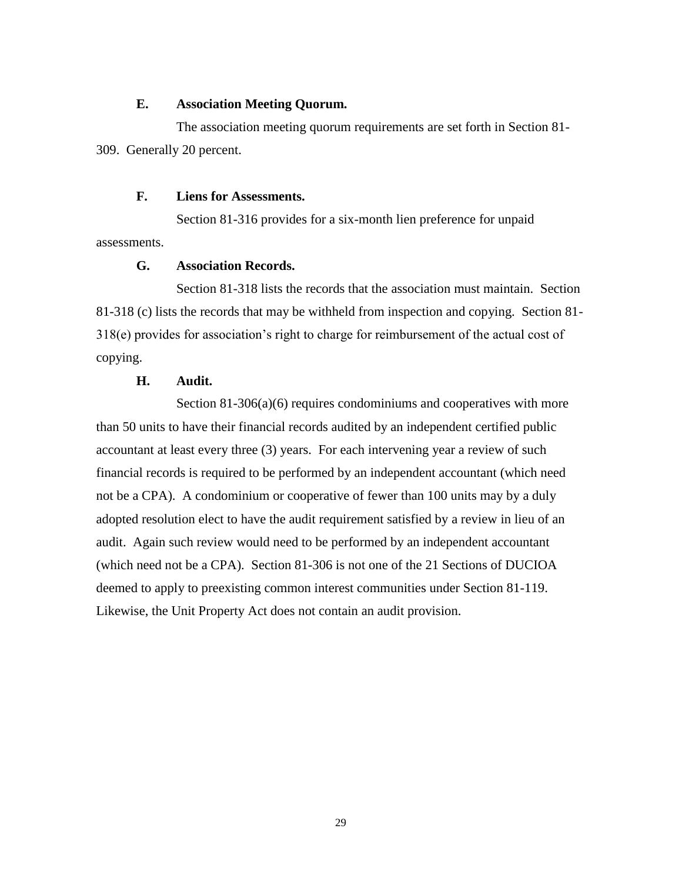#### **E. Association Meeting Quorum.**

The association meeting quorum requirements are set forth in Section 81- 309. Generally 20 percent.

#### **F. Liens for Assessments.**

Section 81-316 provides for a six-month lien preference for unpaid assessments.

# **G. Association Records.**

Section 81-318 lists the records that the association must maintain. Section 81-318 (c) lists the records that may be withheld from inspection and copying. Section 81- 318(e) provides for association's right to charge for reimbursement of the actual cost of copying.

# **H. Audit.**

Section 81-306(a)(6) requires condominiums and cooperatives with more than 50 units to have their financial records audited by an independent certified public accountant at least every three (3) years. For each intervening year a review of such financial records is required to be performed by an independent accountant (which need not be a CPA). A condominium or cooperative of fewer than 100 units may by a duly adopted resolution elect to have the audit requirement satisfied by a review in lieu of an audit. Again such review would need to be performed by an independent accountant (which need not be a CPA). Section 81-306 is not one of the 21 Sections of DUCIOA deemed to apply to preexisting common interest communities under Section 81-119. Likewise, the Unit Property Act does not contain an audit provision.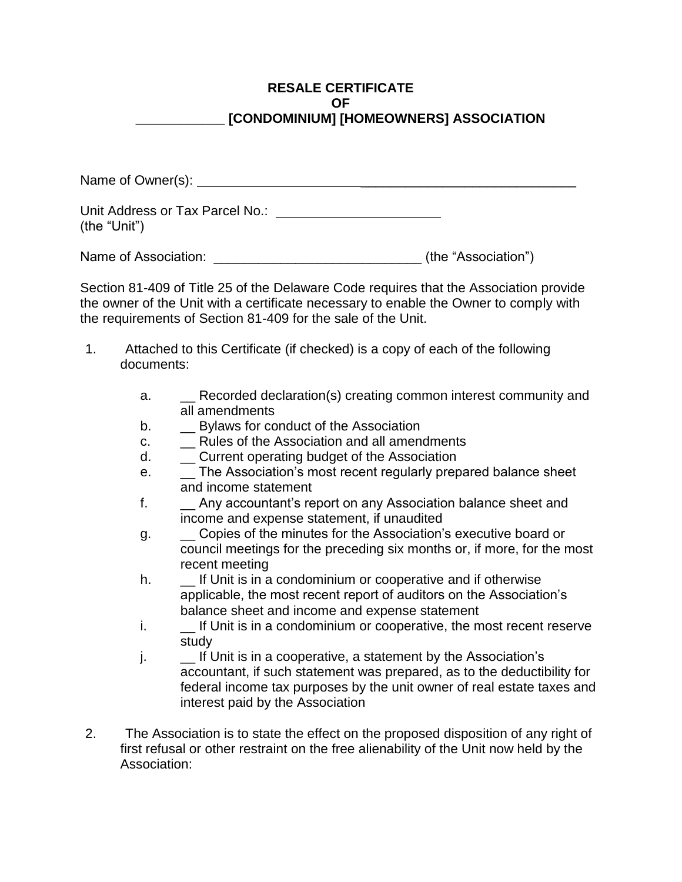# **RESALE CERTIFICATE OF \_\_\_\_\_\_\_\_\_\_\_\_ [CONDOMINIUM] [HOMEOWNERS] ASSOCIATION**

Name of Owner(s): \_\_\_\_\_\_\_\_\_\_\_\_\_\_\_\_\_\_\_\_\_\_\_\_\_\_\_\_\_

Unit Address or Tax Parcel No.: (the "Unit")

Name of Association: <u>\_\_\_\_\_\_\_\_\_\_\_\_\_\_\_\_\_\_\_\_\_\_\_\_\_\_\_\_\_\_\_\_\_\_</u> (the "Association")

Section 81-409 of Title 25 of the Delaware Code requires that the Association provide the owner of the Unit with a certificate necessary to enable the Owner to comply with the requirements of Section 81-409 for the sale of the Unit.

- 1. Attached to this Certificate (if checked) is a copy of each of the following documents:
	- a. **Exercise Recorded declaration(s) creating common interest community and** all amendments
	- b. **Example 3** Bylaws for conduct of the Association
	- c. \_\_ Rules of the Association and all amendments
	- d. \_\_ Current operating budget of the Association
	- e. \_\_ The Association's most recent regularly prepared balance sheet and income statement
	- f. \_\_ Any accountant's report on any Association balance sheet and income and expense statement, if unaudited
	- g.  $\Box$  Copies of the minutes for the Association's executive board or council meetings for the preceding six months or, if more, for the most recent meeting
	- h.  $\Box$  If Unit is in a condominium or cooperative and if otherwise applicable, the most recent report of auditors on the Association's balance sheet and income and expense statement
	- i. If Unit is in a condominium or cooperative, the most recent reserve study
	- j.  $\blacksquare$  If Unit is in a cooperative, a statement by the Association's accountant, if such statement was prepared, as to the deductibility for federal income tax purposes by the unit owner of real estate taxes and interest paid by the Association
- 2. The Association is to state the effect on the proposed disposition of any right of first refusal or other restraint on the free alienability of the Unit now held by the Association: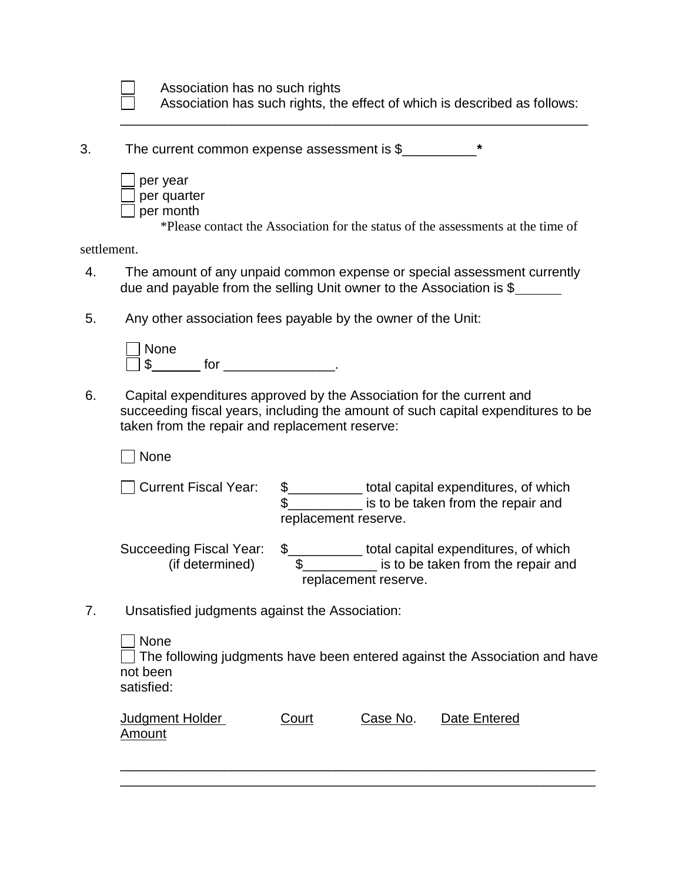Association has no such rights Association has such rights, the effect of which is described as follows:

\_\_\_\_\_\_\_\_\_\_\_\_\_\_\_\_\_\_\_\_\_\_\_\_\_\_\_\_\_\_\_\_\_\_\_\_\_\_\_\_\_\_\_\_\_\_\_\_\_\_\_\_\_\_\_\_\_\_\_\_\_\_\_

3. The current common expense assessment is \$\_\_\_\_\_\_\_\_\_\_**\***

| per year    |
|-------------|
| per quarter |
| per month   |

\*Please contact the Association for the status of the assessments at the time of

settlement.

- 4. The amount of any unpaid common expense or special assessment currently due and payable from the selling Unit owner to the Association is \$
- 5. Any other association fees payable by the owner of the Unit:

| None |     |  |
|------|-----|--|
|      | t∩r |  |

6. Capital expenditures approved by the Association for the current and succeeding fiscal years, including the amount of such capital expenditures to be taken from the repair and replacement reserve:

 $\Box$  None

□ Current Fiscal Year: \$<br>
□ Current Fiscal Year: \$<br>
□ Current Fiscal Year: \$<br>
□ total capital expenditures, of which \$\_\_\_\_\_\_\_\_\_\_\_\_\_\_\_\_ is to be taken from the repair and replacement reserve.

Succeeding Fiscal Year: \$\_\_\_\_\_\_\_\_\_\_ total capital expenditures, of which (if determined) \$\_\_\_\_\_\_\_\_\_\_ is to be taken from the repair and replacement reserve.

7. Unsatisfied judgments against the Association:

| None                                                                       |
|----------------------------------------------------------------------------|
| The following judgments have been entered against the Association and have |
| not been                                                                   |
| satisfied:                                                                 |

\_\_\_\_\_\_\_\_\_\_\_\_\_\_\_\_\_\_\_\_\_\_\_\_\_\_\_\_\_\_\_\_\_\_\_\_\_\_\_\_\_\_\_\_\_\_\_\_\_\_\_\_\_\_\_\_\_\_\_\_\_\_\_\_ \_\_\_\_\_\_\_\_\_\_\_\_\_\_\_\_\_\_\_\_\_\_\_\_\_\_\_\_\_\_\_\_\_\_\_\_\_\_\_\_\_\_\_\_\_\_\_\_\_\_\_\_\_\_\_\_\_\_\_\_\_\_\_\_

| <b>Judgment Holder</b> | Court | Case No. | Date Entered |
|------------------------|-------|----------|--------------|
| Amount                 |       |          |              |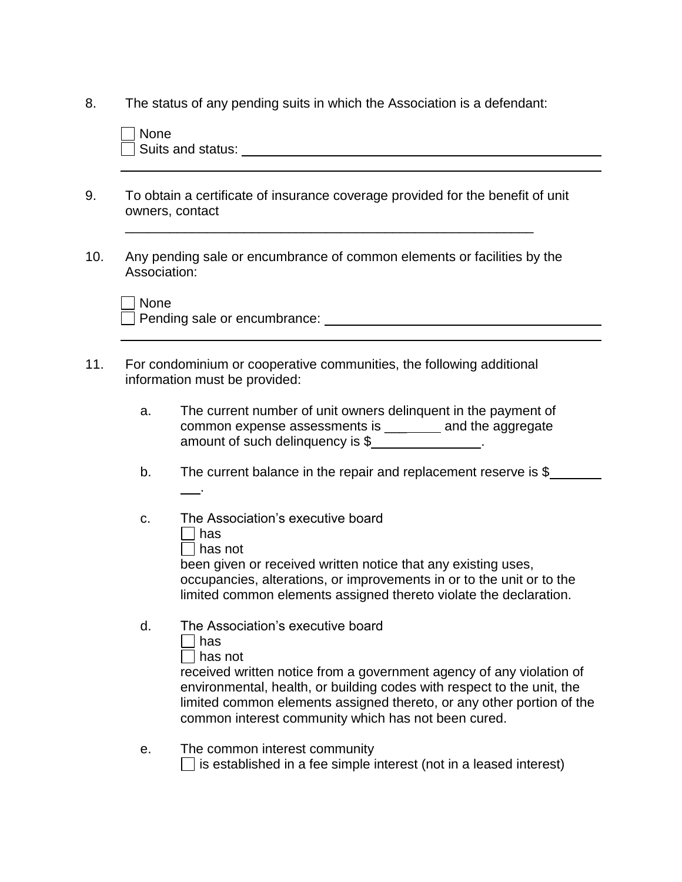8. The status of any pending suits in which the Association is a defendant:

|      | To obtain a certificate of insurance coverage provided for the benefit of unit<br>owners, contact                                                                                                                              |  |  |
|------|--------------------------------------------------------------------------------------------------------------------------------------------------------------------------------------------------------------------------------|--|--|
|      | Any pending sale or encumbrance of common elements or facilities by the<br>Association:                                                                                                                                        |  |  |
| None |                                                                                                                                                                                                                                |  |  |
|      | Pending sale or encumbrance: University of the same state of the state of the state of the state of the state of the state of the state of the state of the state of the state of the state of the state of the state of the s |  |  |
|      |                                                                                                                                                                                                                                |  |  |
|      | For condominium or cooperative communities, the following additional<br>information must be provided:                                                                                                                          |  |  |
| a.   | The current number of unit owners delinguent in the payment of<br>common expense assessments is _________ and the aggregate<br>amount of such delinquency is \$                                                                |  |  |

c. The Association's executive board

| has not

been given or received written notice that any existing uses, occupancies, alterations, or improvements in or to the unit or to the limited common elements assigned thereto violate the declaration.

d. The Association's executive board

| I<br>I |
|--------|
|        |

 $\Box$  has not

received written notice from a government agency of any violation of environmental, health, or building codes with respect to the unit, the limited common elements assigned thereto, or any other portion of the common interest community which has not been cured.

e. The common interest community  $\Box$  is established in a fee simple interest (not in a leased interest)